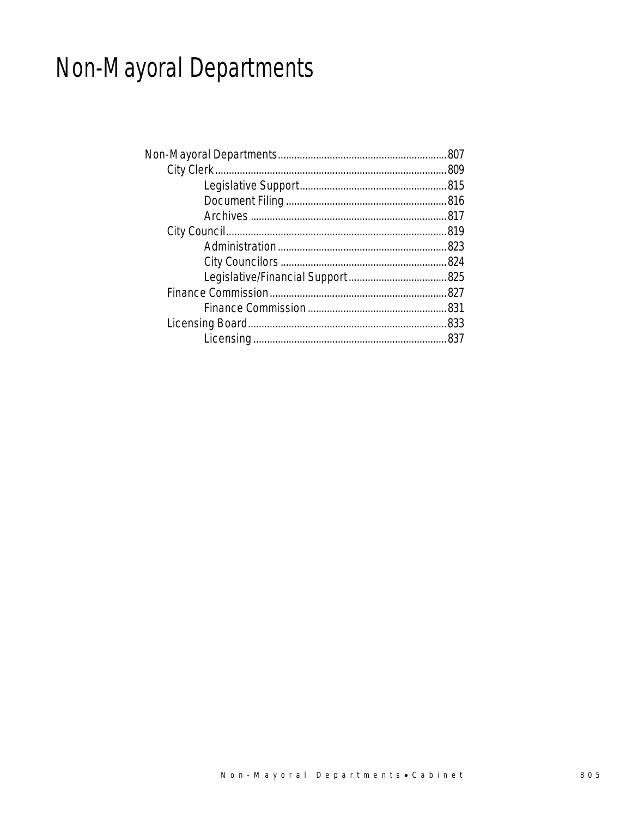# Non-Mayoral Departments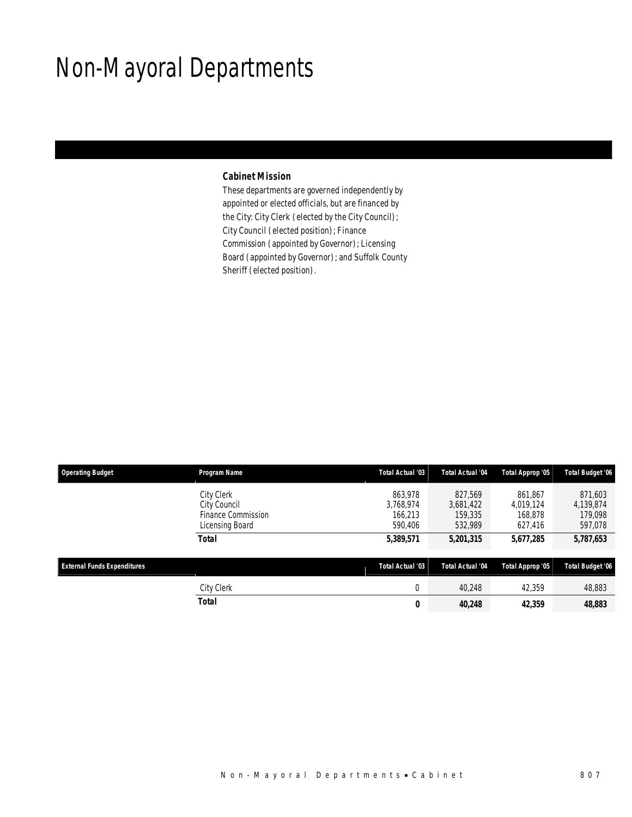# Non-Mayoral Departments

#### *Cabinet Mission*

These departments are governed independently by appointed or elected officials, but are financed by the City: City Clerk (elected by the City Council); City Council (elected position); Finance Commission (appointed by Governor); Licensing Board (appointed by Governor); and Suffolk County Sheriff (elected position).

| <b>Operating Budget</b>            | Program Name                                                               | Total Actual '03                           | <b>Total Actual '04</b>                    | Total Approp '05                           | <b>Total Budget '06</b>                    |
|------------------------------------|----------------------------------------------------------------------------|--------------------------------------------|--------------------------------------------|--------------------------------------------|--------------------------------------------|
|                                    | City Clerk<br>City Council<br><b>Finance Commission</b><br>Licensing Board | 863.978<br>3.768.974<br>166.213<br>590,406 | 827,569<br>3,681,422<br>159,335<br>532,989 | 861.867<br>4,019,124<br>168,878<br>627,416 | 871,603<br>4,139,874<br>179,098<br>597,078 |
|                                    | <b>Total</b>                                                               | 5,389,571                                  | 5,201,315                                  | 5,677,285                                  | 5,787,653                                  |
| <b>External Funds Expenditures</b> |                                                                            | <b>Total Actual '03</b>                    | <b>Total Actual '04</b>                    | Total Approp '05                           | Total Budget '06                           |
|                                    | City Clerk                                                                 | $\overline{0}$                             | 40.248                                     | 42,359                                     | 48,883                                     |
|                                    | <b>Total</b>                                                               | 0                                          | 40,248                                     | 42,359                                     | 48,883                                     |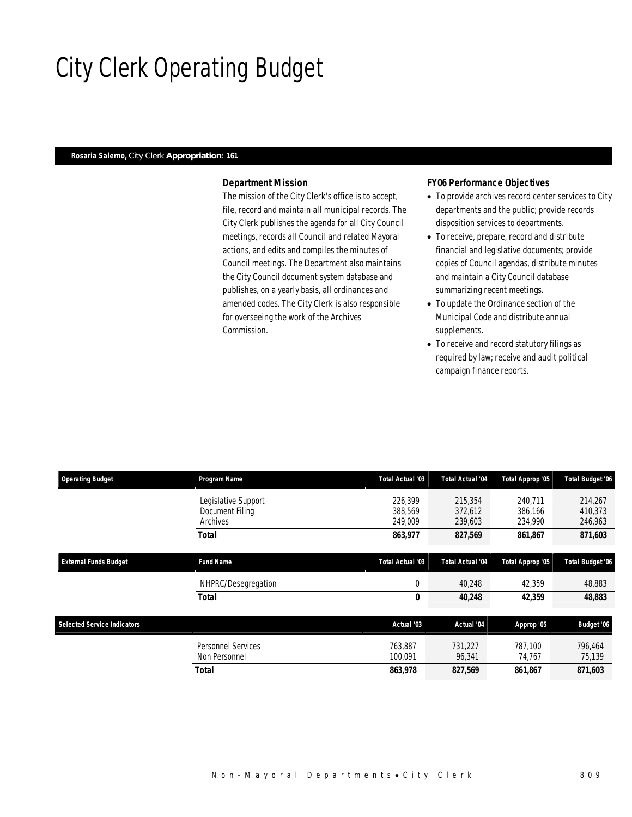# City Clerk Operating Budget

#### *Rosaria Salerno, City Clerk Appropriation: 161*

### *Department Mission*

The mission of the City Clerk's office is to accept, file, record and maintain all municipal records. The City Clerk publishes the agenda for all City Council meetings, records all Council and related Mayoral actions, and edits and compiles the minutes of Council meetings. The Department also maintains the City Council document system database and publishes, on a yearly basis, all ordinances and amended codes. The City Clerk is also responsible for overseeing the work of the Archives Commission.

#### *FY06 Performance Objectives*

- To provide archives record center services to City departments and the public; provide records disposition services to departments.
- To receive, prepare, record and distribute financial and legislative documents; provide copies of Council agendas, distribute minutes and maintain a City Council database summarizing recent meetings.
- To update the Ordinance section of the Municipal Code and distribute annual supplements.
- To receive and record statutory filings as required by law; receive and audit political campaign finance reports.

| <b>Operating Budget</b>            | Program Name                                       | Total Actual '03              | <b>Total Actual '04</b>       | Total Approp '05              | Total Budget '06              |
|------------------------------------|----------------------------------------------------|-------------------------------|-------------------------------|-------------------------------|-------------------------------|
|                                    | Legislative Support<br>Document Filing<br>Archives | 226,399<br>388.569<br>249,009 | 215,354<br>372,612<br>239,603 | 240.711<br>386.166<br>234,990 | 214,267<br>410,373<br>246,963 |
|                                    | <b>Total</b>                                       | 863,977                       | 827,569                       | 861,867                       | 871,603                       |
| <b>External Funds Budget</b>       | <b>Fund Name</b>                                   | <b>Total Actual '03</b>       | Total Actual '04              | Total Approp '05              | <b>Total Budget '06</b>       |
|                                    | NHPRC/Desegregation                                | $\mathbf{0}$                  | 40,248                        | 42,359                        | 48,883                        |
|                                    | <b>Total</b>                                       | 0                             | 40,248                        | 42,359                        | 48,883                        |
| <b>Selected Service Indicators</b> |                                                    | Actual '03                    | Actual '04                    | Approp '05                    | Budget '06                    |
|                                    | <b>Personnel Services</b><br>Non Personnel         | 763.887<br>100,091            | 731.227<br>96,341             | 787.100<br>74,767             | 796.464<br>75,139             |
|                                    | <b>Total</b>                                       | 863,978                       | 827,569                       | 861,867                       | 871,603                       |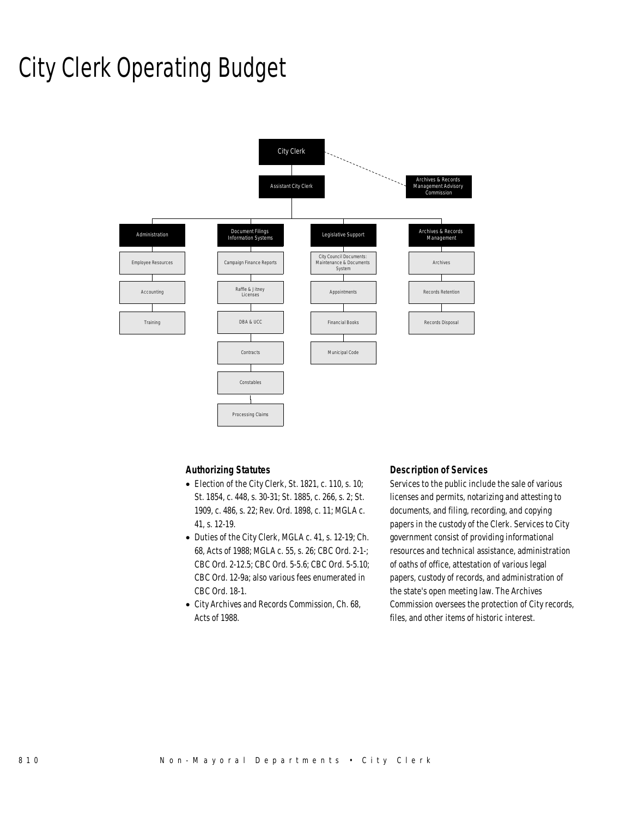## City Clerk Operating Budget



### *Authorizing Statutes*

- Election of the City Clerk, St. 1821, c. 110, s. 10; St. 1854, c. 448, s. 30-31; St. 1885, c. 266, s. 2; St. 1909, c. 486, s. 22; Rev. Ord. 1898, c. 11; MGLA c. 41, s. 12-19.
- Duties of the City Clerk, MGLA c. 41, s. 12-19; Ch. 68, Acts of 1988; MGLA c. 55, s. 26; CBC Ord. 2-1-; CBC Ord. 2-12.5; CBC Ord. 5-5.6; CBC Ord. 5-5.10; CBC Ord. 12-9a; also various fees enumerated in CBC Ord. 18-1.
- City Archives and Records Commission, Ch. 68, Acts of 1988.

### *Description of Services*

Services to the public include the sale of various licenses and permits, notarizing and attesting to documents, and filing, recording, and copying papers in the custody of the Clerk. Services to City government consist of providing informational resources and technical assistance, administration of oaths of office, attestation of various legal papers, custody of records, and administration of the state's open meeting law. The Archives Commission oversees the protection of City records, files, and other items of historic interest.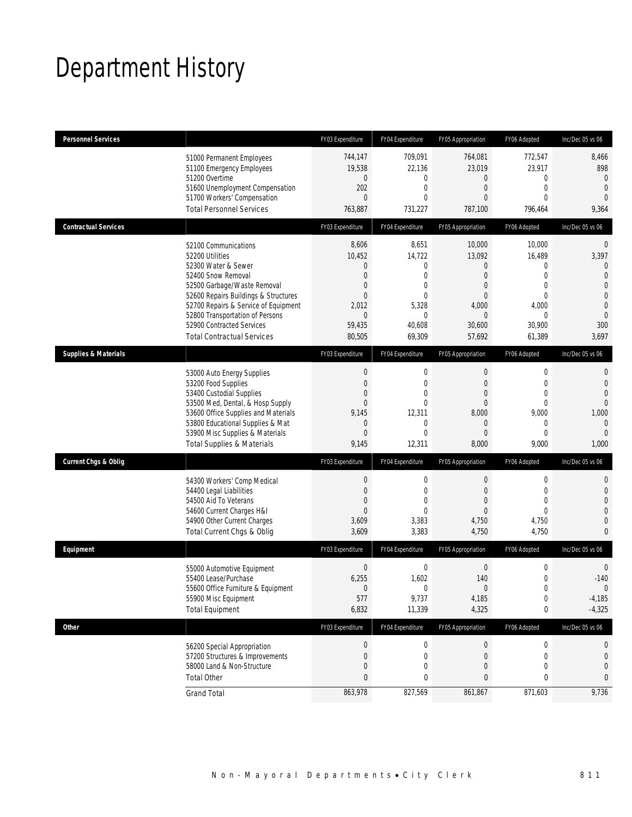# Department History

| <b>Personnel Services</b>       |                                                                                                                                                                                                                                                                                                          | FY03 Expenditure                                                                                                               | FY04 Expenditure                                                                                                     | FY05 Appropriation                                                                                                              | FY06 Adopted                                                                                                  | Inc/Dec 05 vs 06                                                                                                               |
|---------------------------------|----------------------------------------------------------------------------------------------------------------------------------------------------------------------------------------------------------------------------------------------------------------------------------------------------------|--------------------------------------------------------------------------------------------------------------------------------|----------------------------------------------------------------------------------------------------------------------|---------------------------------------------------------------------------------------------------------------------------------|---------------------------------------------------------------------------------------------------------------|--------------------------------------------------------------------------------------------------------------------------------|
|                                 | 51000 Permanent Employees<br>51100 Emergency Employees<br>51200 Overtime<br>51600 Unemployment Compensation<br>51700 Workers' Compensation<br><b>Total Personnel Services</b>                                                                                                                            | 744,147<br>19,538<br>$\mathbf 0$<br>202<br>$\mathbf{0}$<br>763,887                                                             | 709,091<br>22,136<br>$\mathbf{0}$<br>$\mathbf{0}$<br>$\theta$<br>731,227                                             | 764,081<br>23,019<br>$\mathbf 0$<br>$\overline{0}$<br>$\Omega$<br>787,100                                                       | 772,547<br>23,917<br>0<br>$\mathbf{0}$<br>$\Omega$<br>796,464                                                 | 8,466<br>898<br>$\mathbf{0}$<br>$\theta$<br>$\Omega$<br>9,364                                                                  |
| <b>Contractual Services</b>     |                                                                                                                                                                                                                                                                                                          | FY03 Expenditure                                                                                                               | FY04 Expenditure                                                                                                     | FY05 Appropriation                                                                                                              | FY06 Adopted                                                                                                  | Inc/Dec 05 vs 06                                                                                                               |
|                                 | 52100 Communications<br>52200 Utilities<br>52300 Water & Sewer<br>52400 Snow Removal<br>52500 Garbage/Waste Removal<br>52600 Repairs Buildings & Structures<br>52700 Repairs & Service of Equipment<br>52800 Transportation of Persons<br>52900 Contracted Services<br><b>Total Contractual Services</b> | 8,606<br>10,452<br>$\mathbf{0}$<br>$\mathbf{0}$<br>$\mathbf{0}$<br>$\overline{0}$<br>2,012<br>$\mathbf{0}$<br>59,435<br>80,505 | 8,651<br>14,722<br>$\mathbf{0}$<br>$\mathbf{0}$<br>$\mathbf{0}$<br>$\theta$<br>5,328<br>$\theta$<br>40,608<br>69,309 | 10,000<br>13,092<br>$\overline{0}$<br>$\overline{0}$<br>$\mathbf{0}$<br>$\overline{0}$<br>4,000<br>$\Omega$<br>30,600<br>57,692 | 10,000<br>16,489<br>0<br>$\mathbf{0}$<br>$\mathbf 0$<br>$\mathbf{0}$<br>4,000<br>$\Omega$<br>30,900<br>61,389 | $\mathbf 0$<br>3,397<br>0<br>$\overline{0}$<br>$\mathbf 0$<br>$\overline{0}$<br>$\overline{0}$<br>$\mathbf{0}$<br>300<br>3,697 |
| <b>Supplies &amp; Materials</b> |                                                                                                                                                                                                                                                                                                          | FY03 Expenditure                                                                                                               | FY04 Expenditure                                                                                                     | FY05 Appropriation                                                                                                              | FY06 Adopted                                                                                                  | Inc/Dec 05 vs 06                                                                                                               |
|                                 | 53000 Auto Energy Supplies<br>53200 Food Supplies<br>53400 Custodial Supplies<br>53500 Med, Dental, & Hosp Supply<br>53600 Office Supplies and Materials<br>53800 Educational Supplies & Mat<br>53900 Misc Supplies & Materials<br><b>Total Supplies &amp; Materials</b>                                 | $\mathbf 0$<br>$\mathbf{0}$<br>$\mathbf{0}$<br>$\mathbf{0}$<br>9,145<br>$\mathbf{0}$<br>$\overline{0}$<br>9,145                | $\mathbf 0$<br>$\mathbf{0}$<br>$\overline{0}$<br>$\mathbf{0}$<br>12,311<br>$\mathbf{0}$<br>$\theta$<br>12,311        | $\mathbf 0$<br>$\mathbf{0}$<br>$\overline{0}$<br>$\mathbf{0}$<br>8,000<br>$\mathbf{0}$<br>$\overline{0}$<br>8,000               | 0<br>$\overline{0}$<br>$\overline{0}$<br>$\mathbf 0$<br>9,000<br>0<br>$\mathbf{0}$<br>9,000                   | 0<br>$\overline{0}$<br>$\overline{0}$<br>$\mathbf 0$<br>1,000<br>$\mathbf 0$<br>$\Omega$<br>1,000                              |
| Current Chgs & Oblig            |                                                                                                                                                                                                                                                                                                          | FY03 Expenditure                                                                                                               | FY04 Expenditure                                                                                                     | FY05 Appropriation                                                                                                              | FY06 Adopted                                                                                                  | Inc/Dec 05 vs 06                                                                                                               |
|                                 | 54300 Workers' Comp Medical<br>54400 Legal Liabilities<br>54500 Aid To Veterans<br>54600 Current Charges H&I<br>54900 Other Current Charges<br>Total Current Chgs & Oblig                                                                                                                                | $\boldsymbol{0}$<br>$\mathbf{0}$<br>$\Omega$<br>$\mathbf{0}$<br>3,609<br>3,609                                                 | $\mathbf 0$<br>$\mathbf{0}$<br>$\theta$<br>$\theta$<br>3,383<br>3,383                                                | $\mathbf{0}$<br>$\mathbf{0}$<br>$\Omega$<br>$\overline{0}$<br>4,750<br>4,750                                                    | $\mathbf 0$<br>$\overline{0}$<br>$\Omega$<br>$\Omega$<br>4,750<br>4,750                                       | 0<br>$\mathbf 0$<br>0<br>0<br>0<br>0                                                                                           |
| Equipment                       |                                                                                                                                                                                                                                                                                                          | FY03 Expenditure                                                                                                               | FY04 Expenditure                                                                                                     | FY05 Appropriation                                                                                                              | FY06 Adopted                                                                                                  | Inc/Dec 05 vs 06                                                                                                               |
|                                 | 55000 Automotive Equipment<br>55400 Lease/Purchase<br>55600 Office Furniture & Equipment<br>55900 Misc Equipment<br><b>Total Equipment</b>                                                                                                                                                               | $\boldsymbol{0}$<br>6,255<br>$\boldsymbol{0}$<br>577<br>6,832                                                                  | $\mathbf 0$<br>1,602<br>$\theta$<br>9,737<br>11,339                                                                  | $\mathbf 0$<br>140<br>$\Omega$<br>4,185<br>4,325                                                                                | $\mathbf 0$<br>$\mathbf 0$<br>$\cap$<br>$\boldsymbol{0}$<br>0                                                 | 0<br>$-140$<br>$\Omega$<br>$-4,185$<br>$-4,325$                                                                                |
| Other                           |                                                                                                                                                                                                                                                                                                          | FY03 Expenditure                                                                                                               | FY04 Expenditure                                                                                                     | FY05 Appropriation                                                                                                              | FY06 Adopted                                                                                                  | Inc/Dec 05 vs 06                                                                                                               |
|                                 | 56200 Special Appropriation<br>57200 Structures & Improvements<br>58000 Land & Non-Structure<br><b>Total Other</b>                                                                                                                                                                                       | $\boldsymbol{0}$<br>$\mathbf 0$<br>$\mathbf{0}$<br>$\bf{0}$                                                                    | $\mathbf 0$<br>$\mathbf 0$<br>$\mathbf 0$<br>0                                                                       | $\boldsymbol{0}$<br>$\mathbf 0$<br>0<br>0                                                                                       | $\boldsymbol{0}$<br>$\mathbf 0$<br>0<br>0                                                                     | 0<br>0<br>0<br>0                                                                                                               |
|                                 | <b>Grand Total</b>                                                                                                                                                                                                                                                                                       | 863,978                                                                                                                        | 827,569                                                                                                              | 861,867                                                                                                                         | 871,603                                                                                                       | 9,736                                                                                                                          |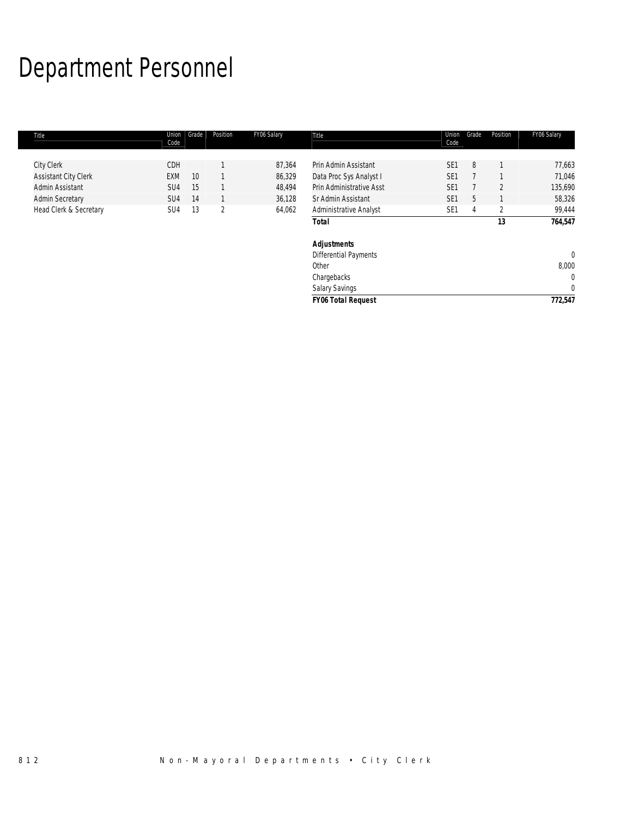# Department Personnel

| Title                       | Union<br>Code   | Grade | Position       | FY06 Salary | Title                        | Union<br>Code   | Grade | Position       | FY06 Salary  |
|-----------------------------|-----------------|-------|----------------|-------------|------------------------------|-----------------|-------|----------------|--------------|
|                             |                 |       |                |             |                              |                 |       |                |              |
| City Clerk                  | CDH             |       |                | 87,364      | Prin Admin Assistant         | SE <sub>1</sub> | 8     |                | 77,663       |
| <b>Assistant City Clerk</b> | <b>EXM</b>      | 10    |                | 86,329      | Data Proc Sys Analyst I      | SE <sub>1</sub> |       |                | 71,046       |
| Admin Assistant             | SU <sub>4</sub> | 15    |                | 48,494      | Prin Administrative Asst     | SE <sub>1</sub> |       | $\overline{2}$ | 135,690      |
| <b>Admin Secretary</b>      | SU <sub>4</sub> | 14    |                | 36,128      | Sr Admin Assistant           | SE <sub>1</sub> | 5     |                | 58,326       |
| Head Clerk & Secretary      | SU4             | 13    | $\overline{2}$ | 64,062      | Administrative Analyst       | SE <sub>1</sub> | 4     | $\overline{2}$ | 99,444       |
|                             |                 |       |                |             | <b>Total</b>                 |                 |       | 13             | 764,547      |
|                             |                 |       |                |             | <b>Adjustments</b>           |                 |       |                |              |
|                             |                 |       |                |             | <b>Differential Payments</b> |                 |       |                | $\mathbf 0$  |
|                             |                 |       |                |             | Other                        |                 |       |                | 8,000        |
|                             |                 |       |                |             | Chargebacks                  |                 |       |                | $\mathbf{0}$ |
|                             |                 |       |                |             | <b>Salary Savings</b>        |                 |       |                | $\mathbf{0}$ |
|                             |                 |       |                |             | <b>FY06 Total Request</b>    |                 |       |                | 772,547      |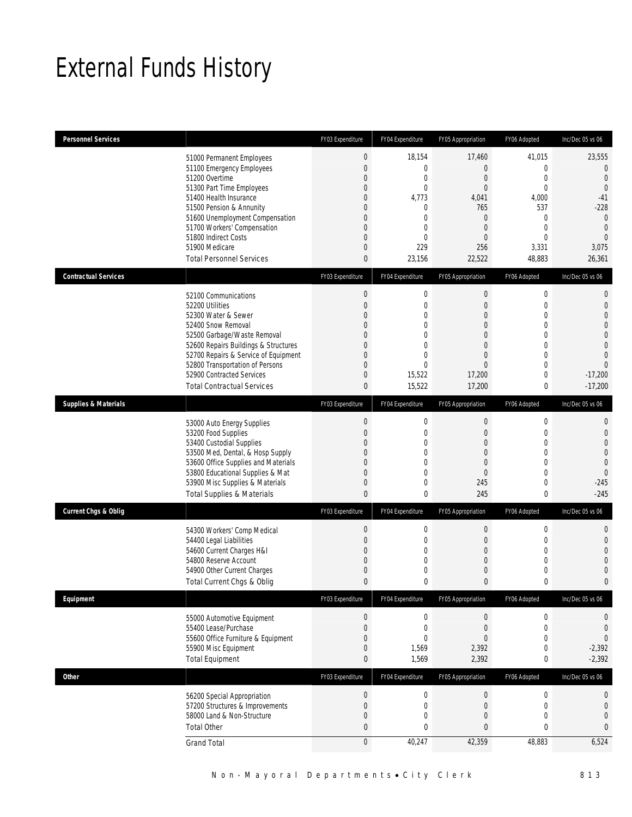## External Funds History

| <b>Personnel Services</b>       |                                                                                                                                                                                                                                                                                                            | FY03 Expenditure                                                                                                                                                                      | FY04 Expenditure                                                                                                                 | FY05 Appropriation                                                                                                                                          | FY06 Adopted                                                                                                                                                             | Inc/Dec 05 vs 06                                                                                                                                       |
|---------------------------------|------------------------------------------------------------------------------------------------------------------------------------------------------------------------------------------------------------------------------------------------------------------------------------------------------------|---------------------------------------------------------------------------------------------------------------------------------------------------------------------------------------|----------------------------------------------------------------------------------------------------------------------------------|-------------------------------------------------------------------------------------------------------------------------------------------------------------|--------------------------------------------------------------------------------------------------------------------------------------------------------------------------|--------------------------------------------------------------------------------------------------------------------------------------------------------|
|                                 | 51000 Permanent Employees<br>51100 Emergency Employees<br>51200 Overtime<br>51300 Part Time Employees<br>51400 Health Insurance<br>51500 Pension & Annunity<br>51600 Unemployment Compensation<br>51700 Workers' Compensation<br>51800 Indirect Costs<br>51900 Medicare<br><b>Total Personnel Services</b> | $\boldsymbol{0}$<br>$\mathbf{0}$<br>$\mathbf{0}$<br>$\overline{0}$<br>$\mathbf{0}$<br>$\mathbf 0$<br>$\overline{0}$<br>$\mathbf{0}$<br>$\overline{0}$<br>$\mathbf{0}$<br>$\mathbf{0}$ | 18,154<br>$\mathbf 0$<br>$\mathbf 0$<br>$\mathbf 0$<br>4,773<br>0<br>$\mathbf 0$<br>$\mathbf 0$<br>0<br>229<br>23,156            | 17,460<br>$\boldsymbol{0}$<br>$\boldsymbol{0}$<br>$\overline{0}$<br>4,041<br>765<br>$\boldsymbol{0}$<br>$\overline{0}$<br>$\overline{0}$<br>256<br>22,522   | 41,015<br>$\overline{0}$<br>$\mathbf{0}$<br>$\mathbf{0}$<br>4,000<br>537<br>$\mathbf{0}$<br>$\mathbf{0}$<br>$\theta$<br>3,331<br>48,883                                  | 23,555<br>$\mathbf{0}$<br>$\mathbf{0}$<br>$\Omega$<br>$-41$<br>$-228$<br>$\overline{0}$<br>$\overline{0}$<br>$\Omega$<br>3,075<br>26,361               |
| <b>Contractual Services</b>     |                                                                                                                                                                                                                                                                                                            | FY03 Expenditure                                                                                                                                                                      | FY04 Expenditure                                                                                                                 | FY05 Appropriation                                                                                                                                          | FY06 Adopted                                                                                                                                                             | Inc/Dec 05 vs 06                                                                                                                                       |
|                                 | 52100 Communications<br>52200 Utilities<br>52300 Water & Sewer<br>52400 Snow Removal<br>52500 Garbage/Waste Removal<br>52600 Repairs Buildings & Structures<br>52700 Repairs & Service of Equipment<br>52800 Transportation of Persons<br>52900 Contracted Services<br><b>Total Contractual Services</b>   | $\boldsymbol{0}$<br>$\mathbf{0}$<br>$\overline{0}$<br>$\mathbf{0}$<br>$\mathbf{0}$<br>$\mathbf{0}$<br>$\overline{0}$<br>$\mathbf{0}$<br>$\mathbf 0$<br>$\mathbf{0}$                   | $\mathbf 0$<br>$\mathbf{0}$<br>$\overline{0}$<br>$\mathbf{0}$<br>0<br>$\overline{0}$<br>$\Omega$<br>$\Omega$<br>15,522<br>15,522 | $\boldsymbol{0}$<br>$\boldsymbol{0}$<br>$\overline{0}$<br>$\overline{0}$<br>$\mathbf 0$<br>$\overline{0}$<br>$\overline{0}$<br>$\Omega$<br>17,200<br>17,200 | $\mathbf 0$<br>$\overline{0}$<br>$\overline{0}$<br>$\overline{0}$<br>$\mathbf 0$<br>$\overline{0}$<br>$\overline{0}$<br>$\overline{0}$<br>$\overline{0}$<br>$\mathbf{0}$ | $\mathbf{0}$<br>$\mathbf{0}$<br>$\overline{0}$<br>$\overline{0}$<br>$\overline{0}$<br>$\overline{0}$<br>$\Omega$<br>$\Omega$<br>$-17,200$<br>$-17,200$ |
| <b>Supplies &amp; Materials</b> |                                                                                                                                                                                                                                                                                                            | FY03 Expenditure                                                                                                                                                                      | FY04 Expenditure                                                                                                                 | FY05 Appropriation                                                                                                                                          | FY06 Adopted                                                                                                                                                             | Inc/Dec 05 vs 06                                                                                                                                       |
|                                 | 53000 Auto Energy Supplies<br>53200 Food Supplies<br>53400 Custodial Supplies<br>53500 Med, Dental, & Hosp Supply<br>53600 Office Supplies and Materials<br>53800 Educational Supplies & Mat<br>53900 Misc Supplies & Materials<br><b>Total Supplies &amp; Materials</b>                                   | $\theta$<br>$\mathbf{0}$<br>$\mathbf 0$<br>$\mathbf{0}$<br>$\mathbf{0}$<br>$\mathbf{0}$<br>$\mathbf{0}$<br>$\mathbf{0}$                                                               | $\mathbf 0$<br>$\mathbf{0}$<br>$\overline{0}$<br>0<br>$\overline{0}$<br>$\mathbf{0}$<br>$\overline{0}$<br>0                      | $\boldsymbol{0}$<br>$\boldsymbol{0}$<br>$\overline{0}$<br>$\mathbf 0$<br>$\overline{0}$<br>$\overline{0}$<br>245<br>245                                     | $\mathbf 0$<br>$\overline{0}$<br>$\overline{0}$<br>$\mathbf 0$<br>$\overline{0}$<br>$\overline{0}$<br>$\overline{0}$<br>0                                                | 0<br>$\overline{0}$<br>$\mathbf{0}$<br>$\mathbf 0$<br>$\overline{0}$<br>$\overline{0}$<br>$-245$<br>$-245$                                             |
| <b>Current Chgs &amp; Oblig</b> |                                                                                                                                                                                                                                                                                                            | FY03 Expenditure                                                                                                                                                                      | FY04 Expenditure                                                                                                                 | FY05 Appropriation                                                                                                                                          | FY06 Adopted                                                                                                                                                             | Inc/Dec 05 vs 06                                                                                                                                       |
|                                 | 54300 Workers' Comp Medical<br>54400 Legal Liabilities<br>54600 Current Charges H&I<br>54800 Reserve Account<br>54900 Other Current Charges<br>Total Current Chgs & Oblig                                                                                                                                  | $\boldsymbol{0}$<br>$\overline{0}$<br>$\overline{0}$<br>$\mathbf 0$<br>$\mathbf 0$<br>$\mathbf{0}$                                                                                    | $\mathbf 0$<br>$\mathbf{0}$<br>$\overline{0}$<br>$\overline{0}$<br>0<br>$\mathbf{0}$                                             | $\boldsymbol{0}$<br>$\boldsymbol{0}$<br>$\boldsymbol{0}$<br>$\boldsymbol{0}$<br>$\mathbf 0$<br>$\mathbf{0}$                                                 | $\mathbf 0$<br>$\mathbf{0}$<br>$\mathbf{0}$<br>$\mathbf 0$<br>$\mathbf 0$<br>$\mathbf{0}$                                                                                | $\mathbf{0}$<br>$\mathbf{0}$<br>$\overline{0}$<br>$\overline{0}$<br>$\mathbf{0}$<br>$\overline{0}$                                                     |
| Equipment                       |                                                                                                                                                                                                                                                                                                            | FY03 Expenditure                                                                                                                                                                      | FY04 Expenditure                                                                                                                 | FY05 Appropriation                                                                                                                                          | FY06 Adopted                                                                                                                                                             | Inc/Dec 05 vs 06                                                                                                                                       |
|                                 | 55000 Automotive Equipment<br>55400 Lease/Purchase<br>55600 Office Furniture & Equipment<br>55900 Misc Equipment<br><b>Total Equipment</b>                                                                                                                                                                 | $\theta$<br>$\boldsymbol{0}$<br>$\mathbf 0$<br>$\mathbf{0}$<br>$\mathbf 0$                                                                                                            | $\boldsymbol{0}$<br>$\mathbf 0$<br>0<br>1,569<br>1,569                                                                           | 0<br>$\mathbf 0$<br>$\overline{0}$<br>2,392<br>2,392                                                                                                        | $\pmb{0}$<br>$\mathbf 0$<br>0<br>$\mathbf 0$<br>0                                                                                                                        | 0<br>$\mathbf 0$<br>$\mathbf 0$<br>$-2,392$<br>$-2,392$                                                                                                |
| <b>Other</b>                    |                                                                                                                                                                                                                                                                                                            | FY03 Expenditure                                                                                                                                                                      | FY04 Expenditure                                                                                                                 | FY05 Appropriation                                                                                                                                          | FY06 Adopted                                                                                                                                                             | Inc/Dec 05 vs 06                                                                                                                                       |
|                                 | 56200 Special Appropriation<br>57200 Structures & Improvements<br>58000 Land & Non-Structure<br><b>Total Other</b><br><b>Grand Total</b>                                                                                                                                                                   | $\boldsymbol{0}$<br>$\boldsymbol{0}$<br>$\theta$<br>$\mathbf 0$<br>$\boldsymbol{0}$                                                                                                   | $\boldsymbol{0}$<br>0<br>0<br>0<br>40,247                                                                                        | $\boldsymbol{0}$<br>$\boldsymbol{0}$<br>$\boldsymbol{0}$<br>$\bf 0$<br>42,359                                                                               | $\boldsymbol{0}$<br>$\mathbf 0$<br>$\mathbf 0$<br>0<br>48,883                                                                                                            | $\boldsymbol{0}$<br>$\mathbf 0$<br>$\mathbf 0$<br>$\mathbf{0}$<br>6,524                                                                                |
|                                 |                                                                                                                                                                                                                                                                                                            |                                                                                                                                                                                       |                                                                                                                                  |                                                                                                                                                             |                                                                                                                                                                          |                                                                                                                                                        |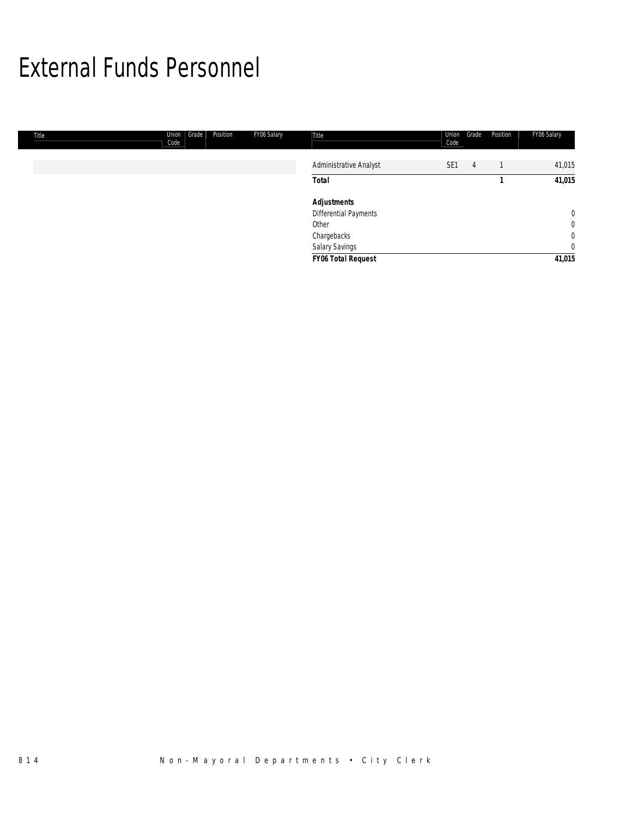## External Funds Personnel

| Title | Union<br>Grade<br>Position<br>Code | FY06 Salary | Title                        | Union<br>Code   | Grade | Position | FY06 Salary    |
|-------|------------------------------------|-------------|------------------------------|-----------------|-------|----------|----------------|
|       |                                    |             | Administrative Analyst       | SE <sub>1</sub> | 4     |          | 41,015         |
|       |                                    |             | <b>Total</b>                 |                 |       |          | 41,015         |
|       |                                    |             | <b>Adjustments</b>           |                 |       |          |                |
|       |                                    |             | <b>Differential Payments</b> |                 |       |          | $\overline{0}$ |
|       |                                    |             | Other                        |                 |       |          | $\overline{0}$ |
|       |                                    |             | Chargebacks                  |                 |       |          | $\overline{0}$ |
|       |                                    |             | Salary Savings               |                 |       |          | $\overline{0}$ |
|       |                                    |             | <b>FY06 Total Request</b>    |                 |       |          | 41,015         |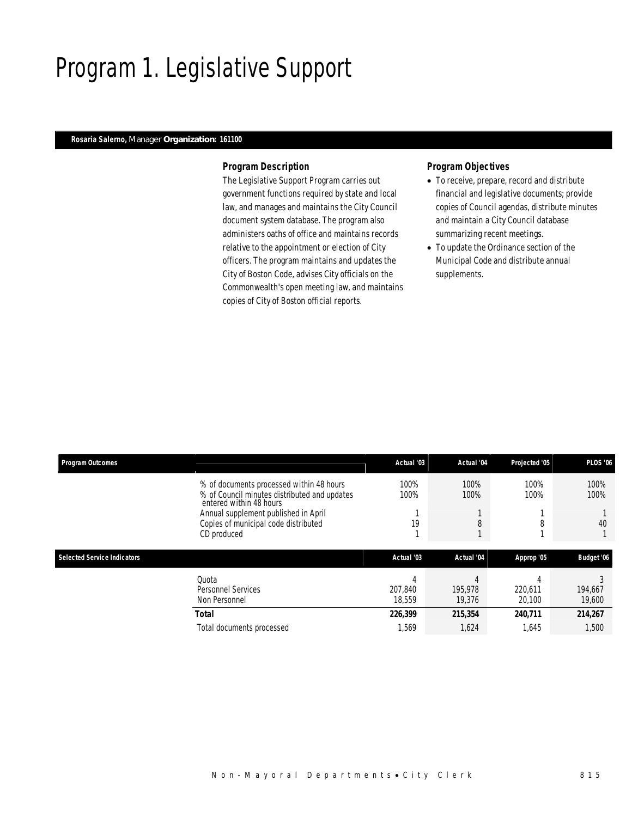# Program 1. Legislative Support

### *Rosaria Salerno, Manager Organization: 161100*

#### *Program Description*

The Legislative Support Program carries out government functions required by state and local law, and manages and maintains the City Council document system database. The program also administers oaths of office and maintains records relative to the appointment or election of City officers. The program maintains and updates the City of Boston Code, advises City officials on the Commonwealth's open meeting law, and maintains copies of City of Boston official reports.

#### *Program Objectives*

- To receive, prepare, record and distribute financial and legislative documents; provide copies of Council agendas, distribute minutes and maintain a City Council database summarizing recent meetings.
- To update the Ordinance section of the Municipal Code and distribute annual supplements.

| <b>Program Outcomes</b>            |                                                                                                                     | Actual '03             | Actual '04             | Projected '05          | <b>PLOS '06</b>   |
|------------------------------------|---------------------------------------------------------------------------------------------------------------------|------------------------|------------------------|------------------------|-------------------|
|                                    | % of documents processed within 48 hours<br>% of Council minutes distributed and updates<br>entered within 48 hours | 100%<br>100%           | 100%<br>100%           | 100%<br>100%           | 100%<br>100%      |
|                                    | Annual supplement published in April<br>Copies of municipal code distributed                                        | 19                     |                        | 8                      | 40                |
|                                    | CD produced                                                                                                         |                        |                        |                        |                   |
| <b>Selected Service Indicators</b> |                                                                                                                     | Actual '03             | Actual '04             | Approp '05             | Budget '06        |
|                                    | Quota<br>Personnel Services<br>Non Personnel                                                                        | 4<br>207.840<br>18.559 | Д<br>195.978<br>19,376 | 4<br>220.611<br>20,100 | 194,667<br>19,600 |
|                                    | <b>Total</b>                                                                                                        | 226,399                | 215,354                | 240.711                | 214,267           |
|                                    | Total documents processed                                                                                           | 1,569                  | 1,624                  | 1,645                  | 1,500             |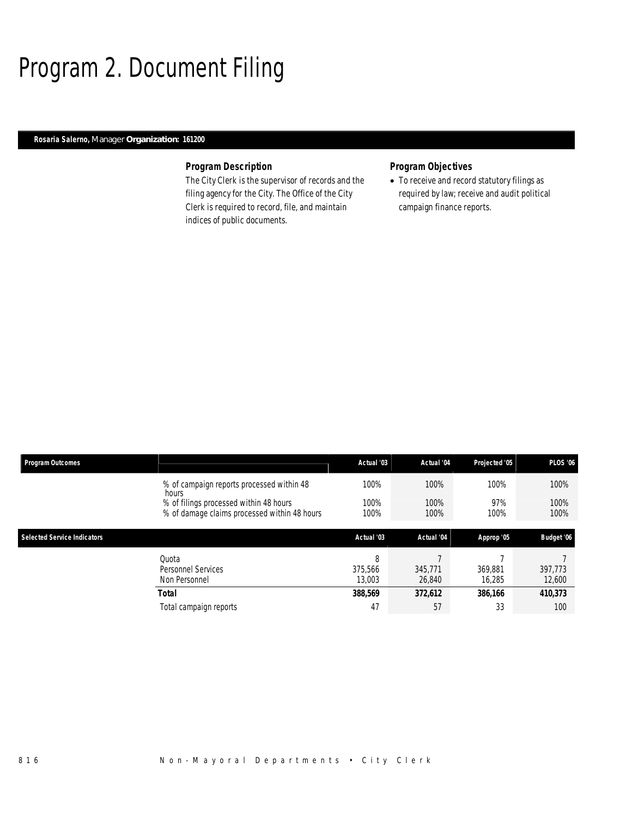# Program 2. Document Filing

### *Rosaria Salerno, Manager Organization: 161200*

#### *Program Description*

The City Clerk is the supervisor of records and the filing agency for the City. The Office of the City Clerk is required to record, file, and maintain indices of public documents.

## *Program Objectives*

• To receive and record statutory filings as required by law; receive and audit political campaign finance reports.

| <b>Program Outcomes</b>            |                                                                                                 | Actual '03             | Actual '04        | Projected '05     | <b>PLOS '06</b>   |
|------------------------------------|-------------------------------------------------------------------------------------------------|------------------------|-------------------|-------------------|-------------------|
|                                    | % of campaign reports processed within 48                                                       | 100%                   | 100%              | 100%              | 100%              |
|                                    | hours<br>% of filings processed within 48 hours<br>% of damage claims processed within 48 hours | 100%<br>100%           | 100%<br>100%      | 97%<br>100%       | 100%<br>100%      |
| <b>Selected Service Indicators</b> |                                                                                                 | Actual '03             | Actual '04        | Approp '05        | Budget '06        |
|                                    | Ouota<br><b>Personnel Services</b><br>Non Personnel                                             | 8<br>375.566<br>13,003 | 345,771<br>26,840 | 369.881<br>16,285 | 397.773<br>12,600 |
|                                    | Total                                                                                           | 388.569                | 372,612           | 386,166           | 410,373           |
|                                    | Total campaign reports                                                                          | 47                     | 57                | 33                | 100               |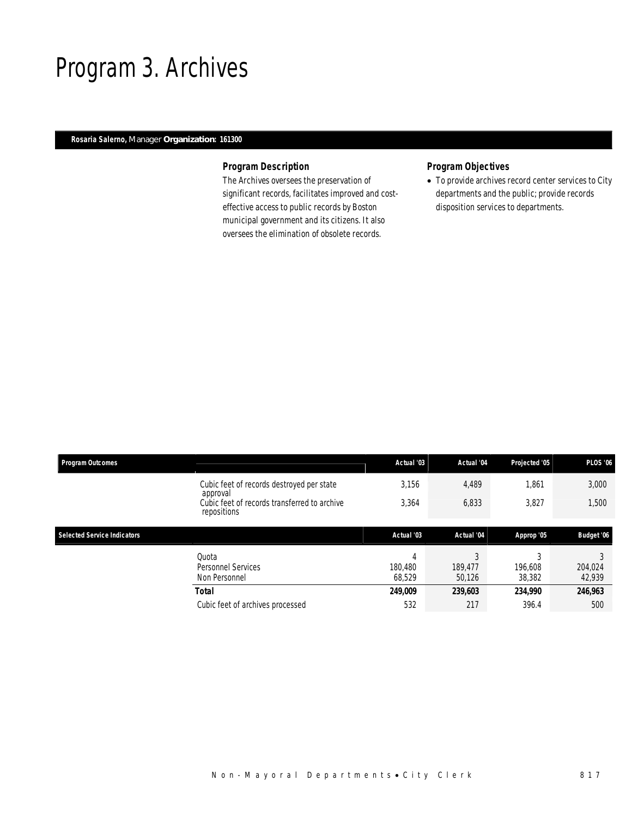## Program 3. Archives

### *Rosaria Salerno, Manager Organization: 161300*

### *Program Description*

The Archives oversees the preservation of significant records, facilitates improved and costeffective access to public records by Boston municipal government and its citizens. It also oversees the elimination of obsolete records.

### *Program Objectives*

• To provide archives record center services to City departments and the public; provide records disposition services to departments.

| <b>Program Outcomes</b>            |                                                                         | Actual '03             | Actual '04             | Projected '05     | <b>PLOS '06</b>   |
|------------------------------------|-------------------------------------------------------------------------|------------------------|------------------------|-------------------|-------------------|
|                                    | Cubic feet of records destroyed per state                               | 3,156                  | 4,489                  | 1,861             | 3,000             |
|                                    | approval<br>Cubic feet of records transferred to archive<br>repositions | 3,364                  | 6,833                  | 3,827             | 1,500             |
| <b>Selected Service Indicators</b> |                                                                         | Actual '03             | Actual '04             | Approp '05        | Budget '06        |
|                                    | Ouota<br>Personnel Services<br>Non Personnel                            | 4<br>180.480<br>68.529 | 3<br>189.477<br>50.126 | 196.608<br>38,382 | 204,024<br>42,939 |
|                                    | <b>Total</b>                                                            | 249,009                | 239,603                | 234,990           | 246,963           |
|                                    | Cubic feet of archives processed                                        | 532                    | 217                    | 396.4             | 500               |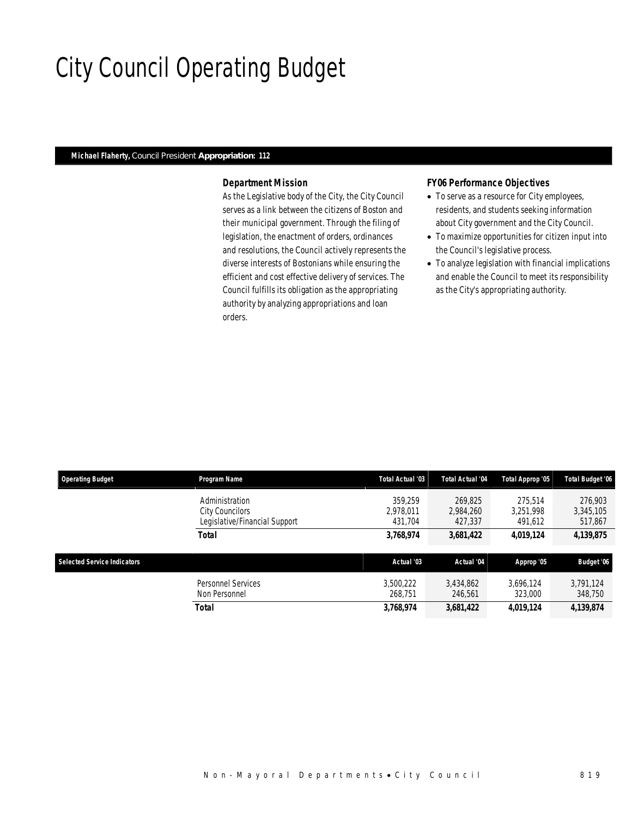# City Council Operating Budget

#### *Michael Flaherty, Council President Appropriation: 112*

#### *Department Mission*

As the Legislative body of the City, the City Council serves as a link between the citizens of Boston and their municipal government. Through the filing of legislation, the enactment of orders, ordinances and resolutions, the Council actively represents the diverse interests of Bostonians while ensuring the efficient and cost effective delivery of services. The Council fulfills its obligation as the appropriating authority by analyzing appropriations and loan orders.

#### *FY06 Performance Objectives*

- To serve as a resource for City employees, residents, and students seeking information about City government and the City Council.
- To maximize opportunities for citizen input into the Council's legislative process.
- To analyze legislation with financial implications and enable the Council to meet its responsibility as the City's appropriating authority.

| <b>Operating Budget</b>            | Program Name                                                       | <b>Total Actual '03</b>         | <b>Total Actual '04</b>         | Total Approp '05                | <b>Total Budget '06</b>         |
|------------------------------------|--------------------------------------------------------------------|---------------------------------|---------------------------------|---------------------------------|---------------------------------|
|                                    | Administration<br>City Councilors<br>Legislative/Financial Support | 359.259<br>2.978.011<br>431.704 | 269.825<br>2.984.260<br>427.337 | 275.514<br>3.251.998<br>491,612 | 276,903<br>3,345,105<br>517,867 |
|                                    | Total                                                              | 3,768,974                       | 3,681,422                       | 4,019,124                       | 4,139,875                       |
| <b>Selected Service Indicators</b> |                                                                    | Actual '03                      | Actual '04                      | Approp '05                      | Budget '06                      |
|                                    | Personnel Services<br>Non Personnel                                | 3,500,222<br>268.751            | 3,434,862<br>246.561            | 3.696.124<br>323,000            | 3,791,124<br>348,750            |
|                                    | Total                                                              | 3,768,974                       | 3,681,422                       | 4,019,124                       | 4,139,874                       |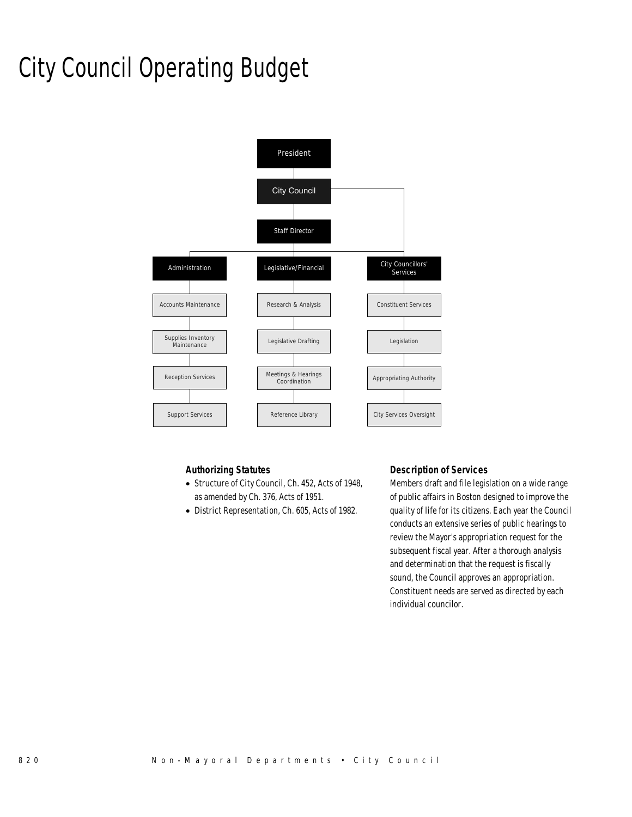# City Council Operating Budget



### *Authorizing Statutes*

- Structure of City Council, Ch. 452, Acts of 1948, as amended by Ch. 376, Acts of 1951.
- District Representation, Ch. 605, Acts of 1982.

### *Description of Services*

Members draft and file legislation on a wide range of public affairs in Boston designed to improve the quality of life for its citizens. Each year the Council conducts an extensive series of public hearings to review the Mayor's appropriation request for the subsequent fiscal year. After a thorough analysis and determination that the request is fiscally sound, the Council approves an appropriation. Constituent needs are served as directed by each individual councilor.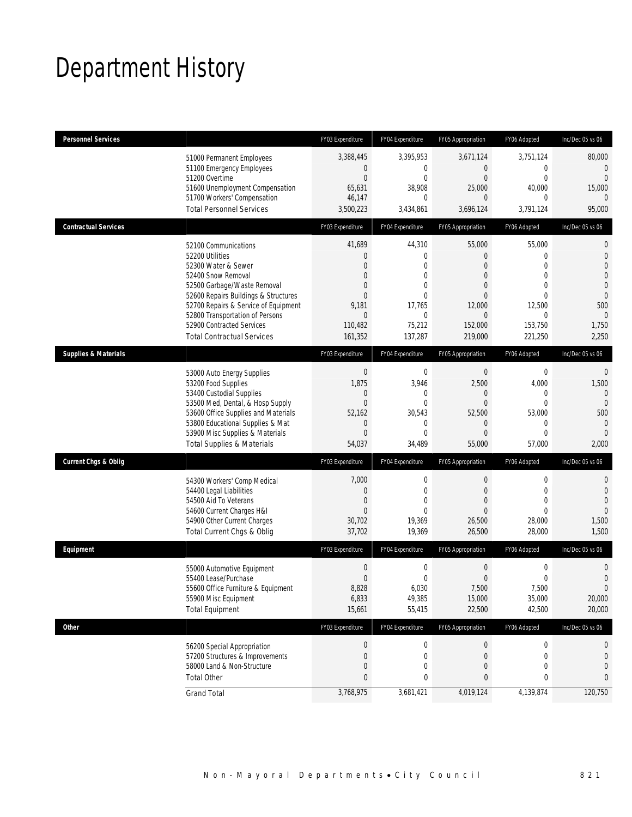# Department History

| <b>Personnel Services</b>       |                                                                                                                                                                                                                                                                                                          | FY03 Expenditure                                                                                                            | FY04 Expenditure                                                                                                 | FY05 Appropriation                                                                                                                 | FY06 Adopted                                                                                 | Inc/Dec 05 vs 06                                                                                                                           |
|---------------------------------|----------------------------------------------------------------------------------------------------------------------------------------------------------------------------------------------------------------------------------------------------------------------------------------------------------|-----------------------------------------------------------------------------------------------------------------------------|------------------------------------------------------------------------------------------------------------------|------------------------------------------------------------------------------------------------------------------------------------|----------------------------------------------------------------------------------------------|--------------------------------------------------------------------------------------------------------------------------------------------|
|                                 | 51000 Permanent Employees<br>51100 Emergency Employees<br>51200 Overtime<br>51600 Unemployment Compensation<br>51700 Workers' Compensation<br><b>Total Personnel Services</b>                                                                                                                            | 3,388,445<br>$\mathbf 0$<br>$\mathbf{0}$<br>65,631<br>46,147<br>3,500,223                                                   | 3,395,953<br>0<br>$\mathbf 0$<br>38,908<br>0<br>3,434,861                                                        | 3,671,124<br>$\overline{0}$<br>$\overline{0}$<br>25,000<br>$\Omega$<br>3,696,124                                                   | 3,751,124<br>0<br>$\boldsymbol{0}$<br>40,000<br>0<br>3,791,124                               | 80,000<br>$\overline{0}$<br>$\overline{0}$<br>15,000<br>$\Omega$<br>95,000                                                                 |
| <b>Contractual Services</b>     |                                                                                                                                                                                                                                                                                                          | FY03 Expenditure                                                                                                            | FY04 Expenditure                                                                                                 | FY05 Appropriation                                                                                                                 | FY06 Adopted                                                                                 | Inc/Dec 05 vs 06                                                                                                                           |
|                                 | 52100 Communications<br>52200 Utilities<br>52300 Water & Sewer<br>52400 Snow Removal<br>52500 Garbage/Waste Removal<br>52600 Repairs Buildings & Structures<br>52700 Repairs & Service of Equipment<br>52800 Transportation of Persons<br>52900 Contracted Services<br><b>Total Contractual Services</b> | 41,689<br>$\theta$<br>$\theta$<br>$\overline{0}$<br>$\mathbf{0}$<br>$\mathbf{0}$<br>9,181<br>$\theta$<br>110,482<br>161,352 | 44,310<br>0<br>$\theta$<br>$\overline{0}$<br>$\Omega$<br>$\theta$<br>17,765<br>$\mathbf{0}$<br>75,212<br>137,287 | 55,000<br>$\overline{0}$<br>$\Omega$<br>$\mathbf{0}$<br>$\overline{0}$<br>$\mathbf{0}$<br>12,000<br>$\Omega$<br>152,000<br>219,000 | 55,000<br>$\mathbf 0$<br>$\Omega$<br>0<br>0<br>0<br>12,500<br>$\Omega$<br>153,750<br>221,250 | $\mathbf 0$<br>$\mathbf 0$<br>$\overline{0}$<br>$\overline{0}$<br>$\mathbf 0$<br>$\overline{0}$<br>500<br>$\overline{0}$<br>1,750<br>2,250 |
| <b>Supplies &amp; Materials</b> |                                                                                                                                                                                                                                                                                                          | FY03 Expenditure                                                                                                            | FY04 Expenditure                                                                                                 | FY05 Appropriation                                                                                                                 | FY06 Adopted                                                                                 | Inc/Dec 05 vs 06                                                                                                                           |
|                                 | 53000 Auto Energy Supplies<br>53200 Food Supplies<br>53400 Custodial Supplies<br>53500 Med, Dental, & Hosp Supply<br>53600 Office Supplies and Materials<br>53800 Educational Supplies & Mat<br>53900 Misc Supplies & Materials<br><b>Total Supplies &amp; Materials</b>                                 | $\boldsymbol{0}$<br>1,875<br>$\mathbf{0}$<br>$\mathbf{0}$<br>52,162<br>$\mathbf{0}$<br>$\overline{0}$<br>54,037             | $\mathbf 0$<br>3,946<br>0<br>0<br>30,543<br>0<br>$\theta$<br>34,489                                              | $\mathbf 0$<br>2,500<br>$\mathbf{0}$<br>$\mathbf{0}$<br>52,500<br>$\overline{0}$<br>$\Omega$<br>55,000                             | $\boldsymbol{0}$<br>4,000<br>0<br>$\mathbf 0$<br>53,000<br>$\mathbf 0$<br>0<br>57,000        | $\mathbf 0$<br>1,500<br>$\Omega$<br>$\overline{0}$<br>500<br>$\mathbf 0$<br>$\overline{0}$<br>2,000                                        |
| Current Chgs & Oblig            |                                                                                                                                                                                                                                                                                                          | FY03 Expenditure                                                                                                            | FY04 Expenditure                                                                                                 | FY05 Appropriation                                                                                                                 | FY06 Adopted                                                                                 | Inc/Dec 05 vs 06                                                                                                                           |
|                                 | 54300 Workers' Comp Medical<br>54400 Legal Liabilities<br>54500 Aid To Veterans<br>54600 Current Charges H&I<br>54900 Other Current Charges<br>Total Current Chgs & Oblig                                                                                                                                | 7,000<br>$\mathbf{0}$<br>$\mathbf{0}$<br>$\mathbf{0}$<br>30,702<br>37,702                                                   | $\mathbf 0$<br>$\mathbf{0}$<br>$\theta$<br>$\theta$<br>19,369<br>19,369                                          | $\boldsymbol{0}$<br>$\boldsymbol{0}$<br>$\mathbf{0}$<br>$\Omega$<br>26,500<br>26,500                                               | $\boldsymbol{0}$<br>$\boldsymbol{0}$<br>$\mathbf 0$<br>$\Omega$<br>28,000<br>28,000          | $\mathbf{0}$<br>$\mathbf 0$<br>$\overline{0}$<br>$\Omega$<br>1,500<br>1,500                                                                |
| Equipment                       |                                                                                                                                                                                                                                                                                                          | FY03 Expenditure                                                                                                            | FY04 Expenditure                                                                                                 | FY05 Appropriation                                                                                                                 | FY06 Adopted                                                                                 | Inc/Dec 05 vs 06                                                                                                                           |
|                                 | 55000 Automotive Equipment<br>55400 Lease/Purchase<br>55600 Office Furniture & Equipment<br>55900 Misc Equipment<br><b>Total Equipment</b>                                                                                                                                                               | $\boldsymbol{0}$<br>$\boldsymbol{0}$<br>8,828<br>6,833<br>15,661                                                            | $\boldsymbol{0}$<br>$\mathbf 0$<br>6,030<br>49,385<br>55,415                                                     | 0<br>$\mathbf{0}$<br>7,500<br>15,000<br>22,500                                                                                     | 0<br>$\mathbf 0$<br>7,500<br>35,000<br>42,500                                                | $\mathbf 0$<br>$\mathbf 0$<br>$\overline{0}$<br>20,000<br>20,000                                                                           |
| Other                           |                                                                                                                                                                                                                                                                                                          | FY03 Expenditure                                                                                                            | FY04 Expenditure                                                                                                 | FY05 Appropriation                                                                                                                 | FY06 Adopted                                                                                 | Inc/Dec 05 vs 06                                                                                                                           |
|                                 | 56200 Special Appropriation<br>57200 Structures & Improvements<br>58000 Land & Non-Structure<br><b>Total Other</b>                                                                                                                                                                                       | $\boldsymbol{0}$<br>$\mathbf 0$<br>$\boldsymbol{0}$<br>$\bf{0}$                                                             | $\boldsymbol{0}$<br>$\mathbf 0$<br>0<br>0                                                                        | $\boldsymbol{0}$<br>$\boldsymbol{0}$<br>0<br>0                                                                                     | $\boldsymbol{0}$<br>0<br>0<br>0                                                              | 0<br>0<br>$\overline{0}$<br>0                                                                                                              |
|                                 | <b>Grand Total</b>                                                                                                                                                                                                                                                                                       | 3,768,975                                                                                                                   | 3,681,421                                                                                                        | 4,019,124                                                                                                                          | 4,139,874                                                                                    | 120,750                                                                                                                                    |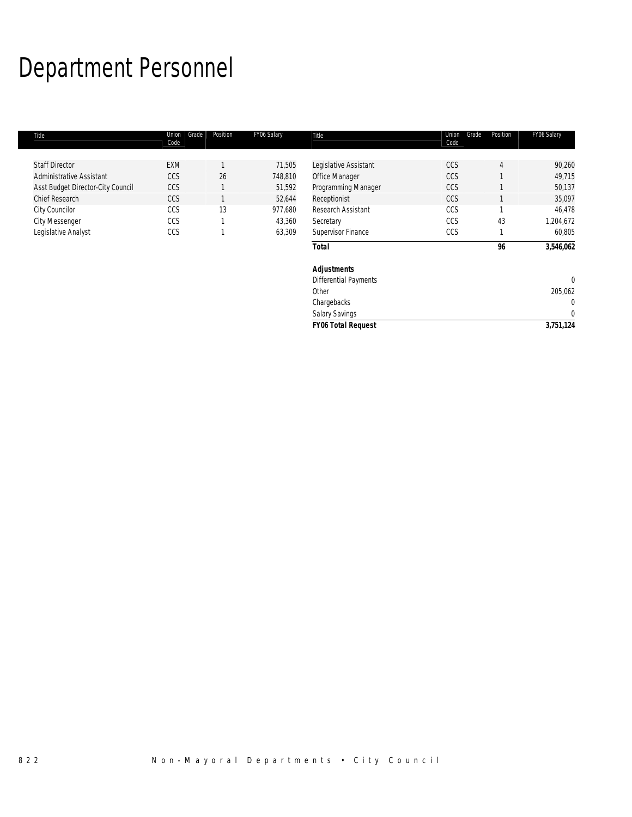# Department Personnel

| Title                             | Union<br>Grade<br>Code | Position | FY06 Salary | Title                        | Union<br>Grade<br>Code | Position       | FY06 Salary  |
|-----------------------------------|------------------------|----------|-------------|------------------------------|------------------------|----------------|--------------|
|                                   |                        |          |             |                              |                        |                |              |
| <b>Staff Director</b>             | EXM                    |          | 71,505      | Legislative Assistant        | CCS                    | $\overline{4}$ | 90,260       |
| Administrative Assistant          | CCS                    | 26       | 748,810     | Office Manager               | CCS                    |                | 49,715       |
| Asst Budget Director-City Council | CCS                    | 1        | 51,592      | Programming Manager          | CCS                    |                | 50,137       |
| Chief Research                    | CCS                    |          | 52,644      | Receptionist                 | CCS                    |                | 35,097       |
| City Councilor                    | CCS                    | 13       | 977,680     | Research Assistant           | CCS                    |                | 46,478       |
| <b>City Messenger</b>             | CCS                    |          | 43,360      | Secretary                    | CCS                    | 43             | 1,204,672    |
| Legislative Analyst               | CCS                    |          | 63,309      | Supervisor Finance           | CCS                    |                | 60,805       |
|                                   |                        |          |             | <b>Total</b>                 |                        | 96             | 3,546,062    |
|                                   |                        |          |             | <b>Adjustments</b>           |                        |                |              |
|                                   |                        |          |             | <b>Differential Payments</b> |                        |                | $\mathbf 0$  |
|                                   |                        |          |             | Other                        |                        |                | 205,062      |
|                                   |                        |          |             | Chargebacks                  |                        |                | $\mathbf 0$  |
|                                   |                        |          |             | <b>Salary Savings</b>        |                        |                | $\mathbf{0}$ |
|                                   |                        |          |             | <b>FY06 Total Request</b>    |                        |                | 3,751,124    |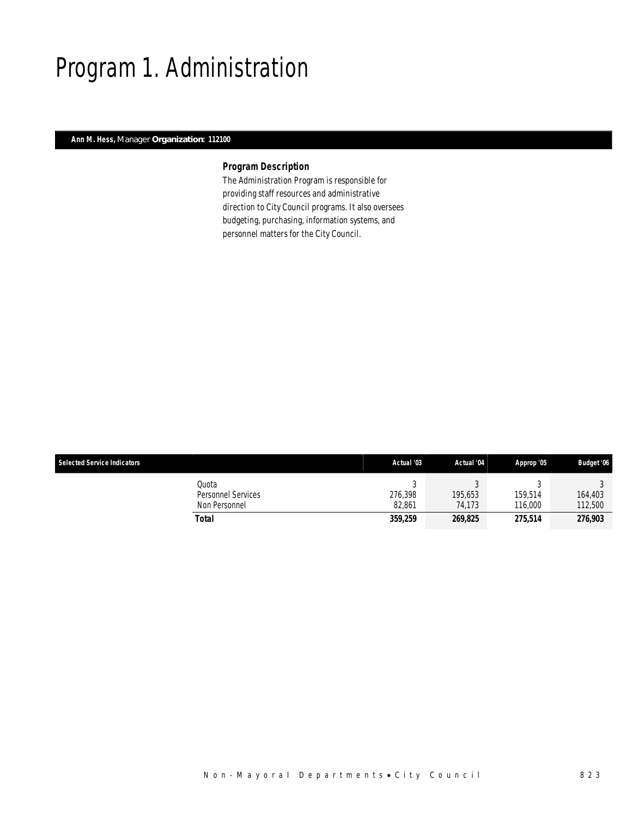## Program 1. Administration

### *Ann M. Hess, Manager Organization: 112100*

## *Program Description*

The Administration Program is responsible for providing staff resources and administrative direction to City Council programs. It also oversees budgeting, purchasing, information systems, and personnel matters for the City Council.

| <b>Selected Service Indicators</b>                  | Actual '03        | Actual '04        | Approp '05         | <b>Budget '06</b>  |
|-----------------------------------------------------|-------------------|-------------------|--------------------|--------------------|
| Quota<br><b>Personnel Services</b><br>Non Personnel | 276.398<br>82.861 | 195.653<br>74.173 | 159.514<br>116,000 | 164,403<br>112,500 |
| Total                                               | 359,259           | 269,825           | 275,514            | 276,903            |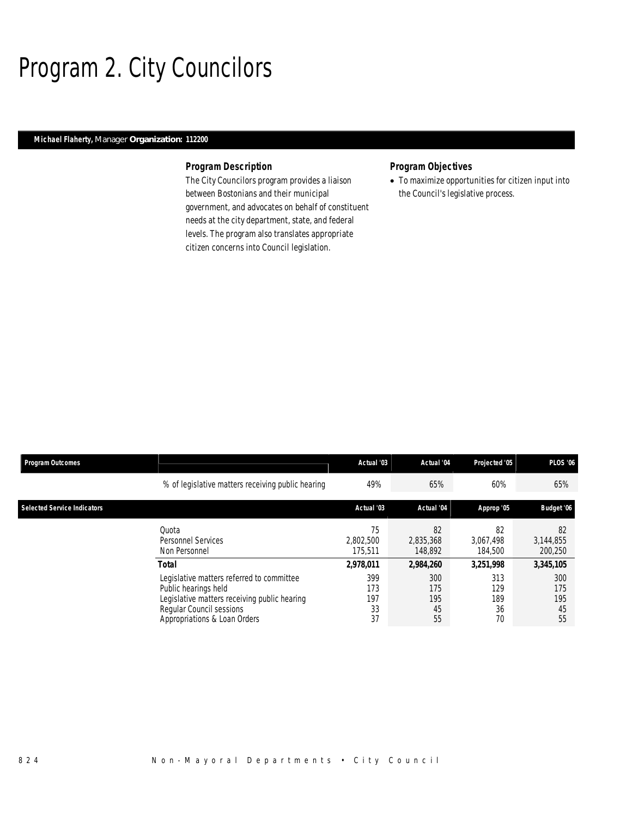# Program 2. City Councilors

### *Michael Flaherty, Manager Organization: 112200*

#### *Program Description*

The City Councilors program provides a liaison between Bostonians and their municipal government, and advocates on behalf of constituent needs at the city department, state, and federal levels. The program also translates appropriate citizen concerns into Council legislation.

### *Program Objectives*

• To maximize opportunities for citizen input into the Council's legislative process.

| <b>Program Outcomes</b>            |                                                                                                                                                                                        | Actual '03                                 | Actual '04                                 | Projected '05                              | <b>PLOS '06</b>                            |
|------------------------------------|----------------------------------------------------------------------------------------------------------------------------------------------------------------------------------------|--------------------------------------------|--------------------------------------------|--------------------------------------------|--------------------------------------------|
|                                    | % of legislative matters receiving public hearing                                                                                                                                      | 49%                                        | 65%                                        | 60%                                        | 65%                                        |
| <b>Selected Service Indicators</b> |                                                                                                                                                                                        | Actual '03                                 | Actual '04                                 | Approp '05                                 | Budget '06                                 |
|                                    | Quota<br>Personnel Services<br>Non Personnel                                                                                                                                           | 75<br>2.802.500<br>175.511                 | 82<br>2.835.368<br>148,892                 | 82<br>3.067.498<br>184,500                 | 82<br>3,144,855<br>200,250                 |
|                                    | Total<br>Legislative matters referred to committee<br>Public hearings held<br>Legislative matters receiving public hearing<br>Regular Council sessions<br>Appropriations & Loan Orders | 2,978,011<br>399<br>173<br>197<br>33<br>37 | 2,984,260<br>300<br>175<br>195<br>45<br>55 | 3.251.998<br>313<br>129<br>189<br>36<br>70 | 3,345,105<br>300<br>175<br>195<br>45<br>55 |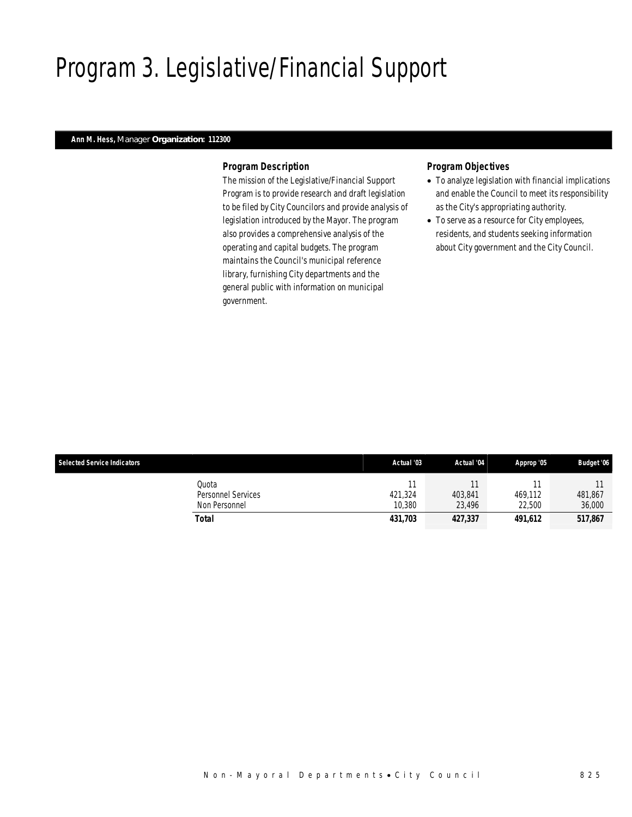# Program 3. Legislative/Financial Support

### *Ann M. Hess, Manager Organization: 112300*

#### *Program Description*

The mission of the Legislative/Financial Support Program is to provide research and draft legislation to be filed by City Councilors and provide analysis of legislation introduced by the Mayor. The program also provides a comprehensive analysis of the operating and capital budgets. The program maintains the Council's municipal reference library, furnishing City departments and the general public with information on municipal government.

#### *Program Objectives*

- To analyze legislation with financial implications and enable the Council to meet its responsibility as the City's appropriating authority.
- To serve as a resource for City employees, residents, and students seeking information about City government and the City Council.

| <b>Selected Service Indicators</b> |                                              | Actual '03        | Actual '04        | Approp '05        | <b>Budget '06</b> |
|------------------------------------|----------------------------------------------|-------------------|-------------------|-------------------|-------------------|
|                                    | Quota<br>Personnel Services<br>Non Personnel | 421.324<br>10,380 | 403.841<br>23.496 | 469.112<br>22,500 | 481,867<br>36,000 |
|                                    | Total                                        | 431,703           | 427,337           | 491.612           | 517,867           |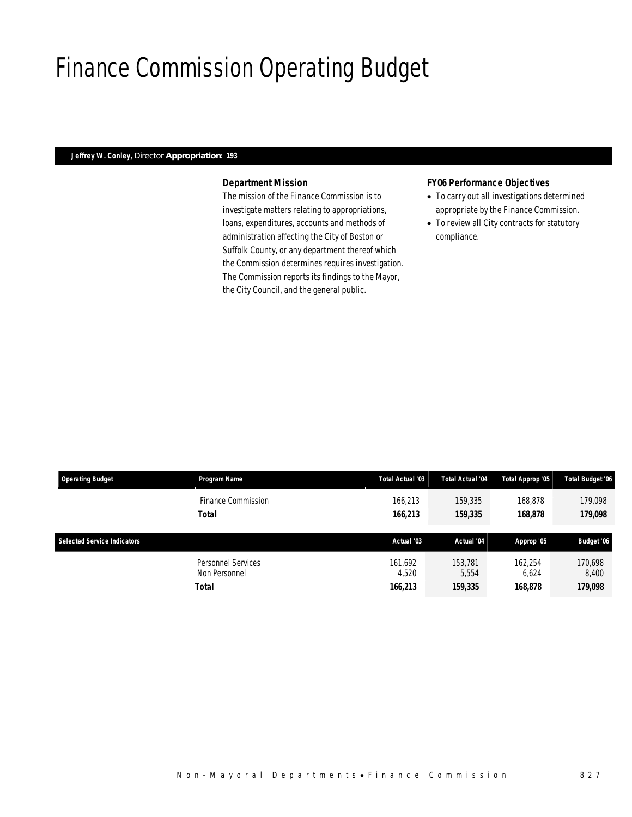## Finance Commission Operating Budget

### *Jeffrey W. Conley, Director Appropriation: 193*

#### *Department Mission*

The mission of the Finance Commission is to investigate matters relating to appropriations, loans, expenditures, accounts and methods of administration affecting the City of Boston or Suffolk County, or any department thereof which the Commission determines requires investigation. The Commission reports its findings to the Mayor, the City Council, and the general public.

#### *FY06 Performance Objectives*

- To carry out all investigations determined appropriate by the Finance Commission.
- To review all City contracts for statutory compliance.

| <b>Operating Budget</b>            | Program Name                        | Total Actual '03 | Total Actual '04 | Total Approp '05 | <b>Total Budget '06</b> |
|------------------------------------|-------------------------------------|------------------|------------------|------------------|-------------------------|
|                                    | Finance Commission                  | 166.213          | 159,335          | 168,878          | 179.098                 |
|                                    | Total                               | 166,213          | 159,335          | 168,878          | 179,098                 |
| <b>Selected Service Indicators</b> |                                     | Actual '03       | Actual '04       | Approp '05       | Budget '06              |
|                                    | Personnel Services<br>Non Personnel | 161.692<br>4,520 | 153.781<br>5,554 | 162.254<br>6,624 | 170.698<br>8,400        |
|                                    | Total                               | 166,213          | 159,335          | 168,878          | 179,098                 |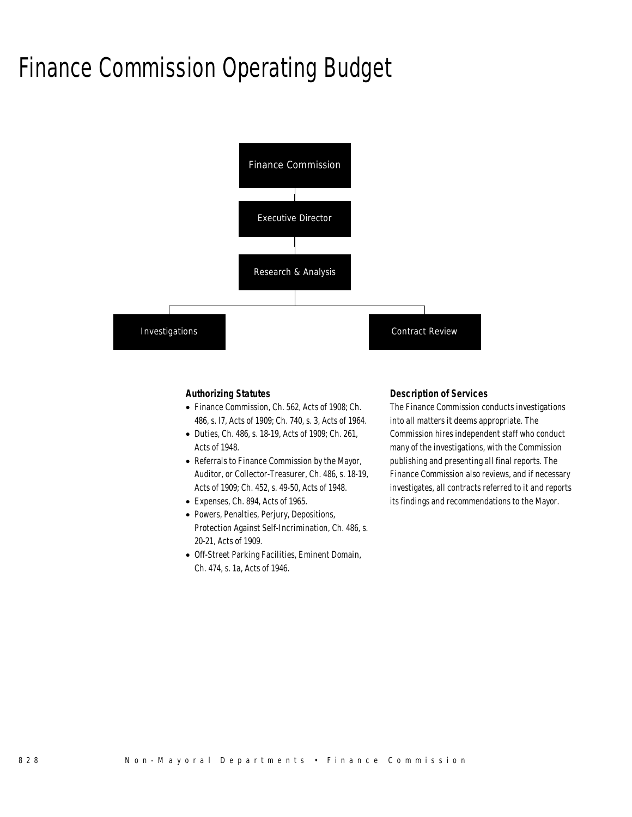## Finance Commission Operating Budget



### *Authorizing Statutes*

- Finance Commission, Ch. 562, Acts of 1908; Ch. 486, s. l7, Acts of 1909; Ch. 740, s. 3, Acts of 1964.
- Duties, Ch. 486, s. 18-19, Acts of 1909; Ch. 261, Acts of 1948.
- Referrals to Finance Commission by the Mayor, Auditor, or Collector-Treasurer, Ch. 486, s. 18-19, Acts of 1909; Ch. 452, s. 49-50, Acts of 1948.
- Expenses, Ch. 894, Acts of 1965.
- Powers, Penalties, Perjury, Depositions, Protection Against Self-Incrimination, Ch. 486, s. 20-21, Acts of 1909.
- Off-Street Parking Facilities, Eminent Domain, Ch. 474, s. 1a, Acts of 1946.

#### *Description of Services*

The Finance Commission conducts investigations into all matters it deems appropriate. The Commission hires independent staff who conduct many of the investigations, with the Commission publishing and presenting all final reports. The Finance Commission also reviews, and if necessary investigates, all contracts referred to it and reports its findings and recommendations to the Mayor.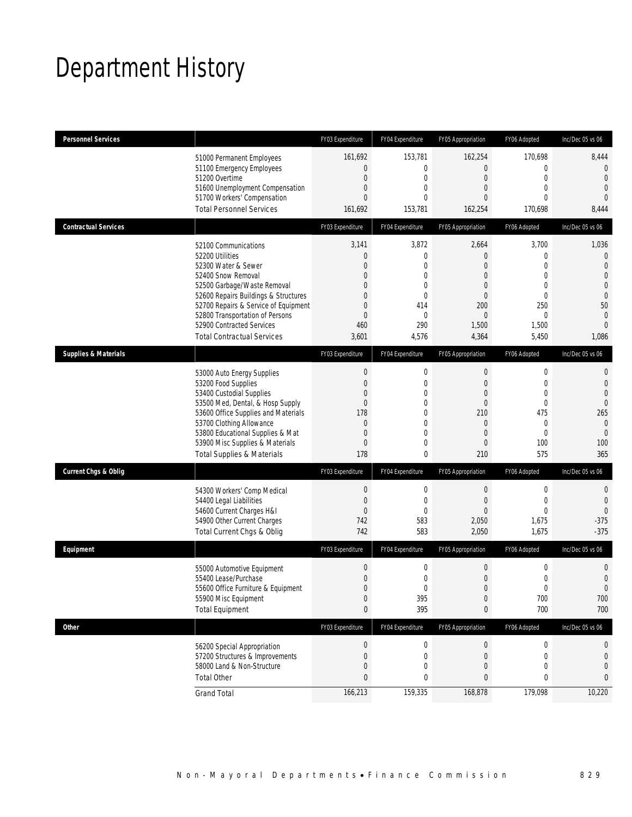# Department History

| <b>Personnel Services</b>       |                                                                | FY03 Expenditure                 | FY04 Expenditure                 | FY05 Appropriation               | FY06 Adopted                     | Inc/Dec 05 vs 06                 |
|---------------------------------|----------------------------------------------------------------|----------------------------------|----------------------------------|----------------------------------|----------------------------------|----------------------------------|
|                                 | 51000 Permanent Employees                                      | 161,692                          | 153,781                          | 162,254                          | 170,698                          | 8,444                            |
|                                 | 51100 Emergency Employees                                      | $\mathbf{0}$                     | 0                                | $\overline{0}$                   | $\mathbf{0}$                     | $\mathbf 0$                      |
|                                 | 51200 Overtime<br>51600 Unemployment Compensation              | $\overline{0}$<br>$\mathbf{0}$   | $\mathbf{0}$<br>$\overline{0}$   | $\overline{0}$<br>$\overline{0}$ | $\mathbf 0$<br>$\overline{0}$    | $\theta$<br>$\overline{0}$       |
|                                 | 51700 Workers' Compensation                                    | $\overline{0}$                   | $\overline{0}$                   | $\Omega$                         | $\Omega$                         | $\overline{0}$                   |
|                                 | <b>Total Personnel Services</b>                                | 161,692                          | 153,781                          | 162,254                          | 170,698                          | 8,444                            |
| <b>Contractual Services</b>     |                                                                | FY03 Expenditure                 | FY04 Expenditure                 | FY05 Appropriation               | FY06 Adopted                     | Inc/Dec 05 vs 06                 |
|                                 | 52100 Communications                                           | 3,141                            | 3,872                            | 2,664                            | 3,700                            | 1,036                            |
|                                 | 52200 Utilities                                                | $\mathbf 0$                      | 0                                | $\overline{0}$                   | 0                                | $\mathbf 0$                      |
|                                 | 52300 Water & Sewer<br>52400 Snow Removal                      | $\overline{0}$<br>$\mathbf{0}$   | $\overline{0}$<br>$\overline{0}$ | $\overline{0}$<br>$\overline{0}$ | $\mathbf{0}$<br>$\mathbf 0$      | $\overline{0}$<br>$\overline{0}$ |
|                                 | 52500 Garbage/Waste Removal                                    | $\mathbf{0}$                     | 0                                | $\overline{0}$                   | $\mathbf{0}$                     | $\mathbf 0$                      |
|                                 | 52600 Repairs Buildings & Structures                           | $\mathbf{0}$                     | $\mathbf{0}$                     | $\overline{0}$                   | $\mathbf 0$                      | $\mathbf{0}$                     |
|                                 | 52700 Repairs & Service of Equipment                           | $\mathbf{0}$                     | 414                              | 200                              | 250                              | 50                               |
|                                 | 52800 Transportation of Persons                                | $\overline{0}$                   | $\mathbf{0}$                     | $\Omega$                         | $\overline{0}$                   | $\overline{0}$                   |
|                                 | 52900 Contracted Services<br><b>Total Contractual Services</b> | 460<br>3,601                     | 290<br>4,576                     | 1,500<br>4,364                   | 1,500<br>5,450                   | $\overline{0}$<br>1,086          |
|                                 |                                                                |                                  |                                  |                                  |                                  |                                  |
| <b>Supplies &amp; Materials</b> |                                                                | FY03 Expenditure                 | FY04 Expenditure                 | FY05 Appropriation               | FY06 Adopted                     | Inc/Dec 05 vs 06                 |
|                                 | 53000 Auto Energy Supplies                                     | $\boldsymbol{0}$                 | $\boldsymbol{0}$                 | $\boldsymbol{0}$                 | $\mathbf 0$                      | 0                                |
|                                 | 53200 Food Supplies                                            | $\overline{0}$                   | $\mathbf{0}$                     | $\boldsymbol{0}$                 | $\mathbf 0$                      | $\overline{0}$                   |
|                                 | 53400 Custodial Supplies<br>53500 Med, Dental, & Hosp Supply   | $\mathbf{0}$<br>$\mathbf 0$      | $\mathbf 0$<br>$\mathbf{0}$      | $\overline{0}$<br>$\overline{0}$ | $\boldsymbol{0}$<br>$\mathbf{0}$ | $\overline{0}$<br>$\mathbf 0$    |
|                                 | 53600 Office Supplies and Materials                            | 178                              | $\overline{0}$                   | 210                              | 475                              | 265                              |
|                                 | 53700 Clothing Allowance                                       | $\mathbf{0}$                     | 0                                | $\overline{0}$                   | $\mathbf{0}$                     | $\mathbf 0$                      |
|                                 | 53800 Educational Supplies & Mat                               | $\overline{0}$                   | $\overline{0}$                   | $\overline{0}$                   | $\mathbf{0}$                     | $\mathbf{0}$                     |
|                                 | 53900 Misc Supplies & Materials                                | $\mathbf 0$                      | 0                                | $\overline{0}$                   | 100                              | 100                              |
|                                 | <b>Total Supplies &amp; Materials</b>                          | 178                              | 0                                | 210                              | 575                              | 365                              |
| <b>Current Chgs &amp; Oblig</b> |                                                                | FY03 Expenditure                 | FY04 Expenditure                 | FY05 Appropriation               | FY06 Adopted                     | Inc/Dec 05 vs 06                 |
|                                 | 54300 Workers' Comp Medical                                    | $\mathbf 0$                      | 0                                | $\mathbf 0$                      | $\mathbf 0$                      | 0                                |
|                                 | 54400 Legal Liabilities                                        | $\boldsymbol{0}$                 | $\mathbf{0}$                     | $\overline{0}$                   | $\mathbf{0}$                     | $\mathbf{0}$                     |
|                                 | 54600 Current Charges H&I                                      | $\boldsymbol{0}$                 | $\mathbf{0}$                     | $\mathbf{0}$                     | $\mathbf 0$                      | $\overline{0}$                   |
|                                 | 54900 Other Current Charges                                    | 742                              | 583                              | 2,050                            | 1,675                            | $-375$                           |
|                                 | Total Current Chgs & Oblig                                     | 742                              | 583                              | 2,050                            | 1,675                            | $-375$                           |
| Equipment                       |                                                                | FY03 Expenditure                 | FY04 Expenditure                 | FY05 Appropriation               | FY06 Adopted                     | Inc/Dec 05 vs 06                 |
|                                 | 55000 Automotive Equipment                                     | $\boldsymbol{0}$                 | $\mathbf 0$                      | 0                                | $\boldsymbol{0}$                 | 0                                |
|                                 | 55400 Lease/Purchase                                           | $\boldsymbol{0}$                 | $\mathbf 0$                      | $\boldsymbol{0}$                 | $\boldsymbol{0}$                 | $\mathbf 0$                      |
|                                 | 55600 Office Furniture & Equipment                             | $\Omega$                         | $\Omega$                         | $\Omega$                         | $\Omega$                         | $\Omega$                         |
|                                 | 55900 Misc Equipment                                           | $\boldsymbol{0}$<br>$\mathbf{0}$ | 395<br>395                       | $\boldsymbol{0}$                 | 700<br>700                       | 700<br>700                       |
|                                 | <b>Total Equipment</b>                                         |                                  |                                  | 0                                |                                  |                                  |
| <b>Other</b>                    |                                                                | FY03 Expenditure                 | FY04 Expenditure                 | FY05 Appropriation               | FY06 Adopted                     | Inc/Dec 05 vs 06                 |
|                                 | 56200 Special Appropriation                                    | $\boldsymbol{0}$                 | $\boldsymbol{0}$                 | $\boldsymbol{0}$                 | $\boldsymbol{0}$                 | 0                                |
|                                 | 57200 Structures & Improvements                                | $\mathbf 0$                      | $\boldsymbol{0}$                 | $\boldsymbol{0}$                 | $\mathbf 0$                      | 0                                |
|                                 | 58000 Land & Non-Structure                                     | $\mathbf 0$                      | 0                                | 0                                | $\boldsymbol{0}$                 | $\mathbf 0$                      |
|                                 | <b>Total Other</b>                                             | $\pmb{0}$                        | 0                                | $\mathbf{0}$                     | 0                                | 0                                |
|                                 | <b>Grand Total</b>                                             | 166,213                          | 159,335                          | 168,878                          | 179,098                          | 10,220                           |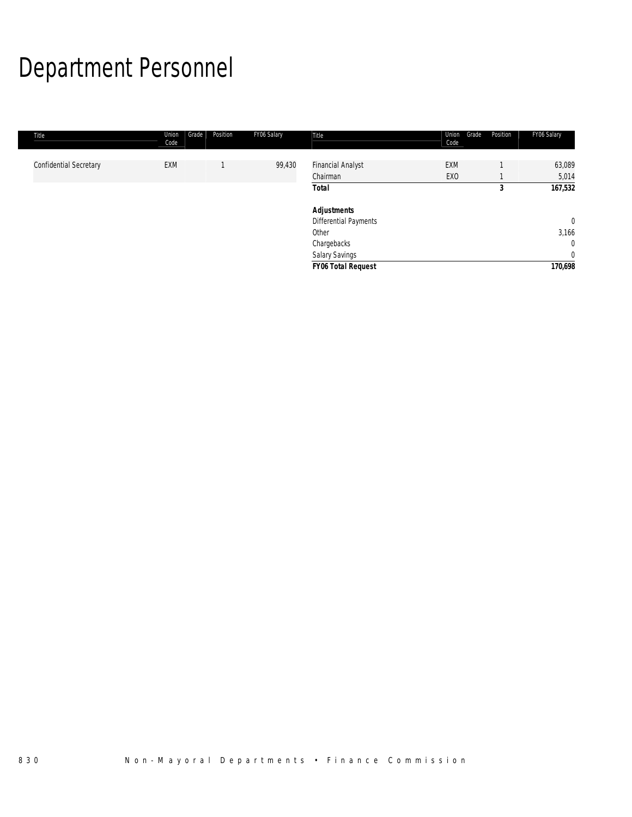# Department Personnel

| Title                         | Union<br>Code | Grade<br>Position | FY06 Salary | Title                        | Union<br>Grade<br>Code | Position | FY06 Salary    |
|-------------------------------|---------------|-------------------|-------------|------------------------------|------------------------|----------|----------------|
| <b>Confidential Secretary</b> | <b>EXM</b>    |                   | 99,430      | <b>Financial Analyst</b>     | <b>EXM</b>             |          | 63,089         |
|                               |               |                   |             | Chairman                     | EX <sub>0</sub>        |          | 5,014          |
|                               |               |                   |             | <b>Total</b>                 |                        | 3        | 167,532        |
|                               |               |                   |             | <b>Adjustments</b>           |                        |          |                |
|                               |               |                   |             | <b>Differential Payments</b> |                        |          | $\overline{0}$ |
|                               |               |                   |             | Other                        |                        |          | 3,166          |
|                               |               |                   |             | Chargebacks                  |                        |          | $\mathbf{0}$   |
|                               |               |                   |             | Salary Savings               |                        |          | $\overline{0}$ |
|                               |               |                   |             | <b>FY06 Total Request</b>    |                        |          | 170,698        |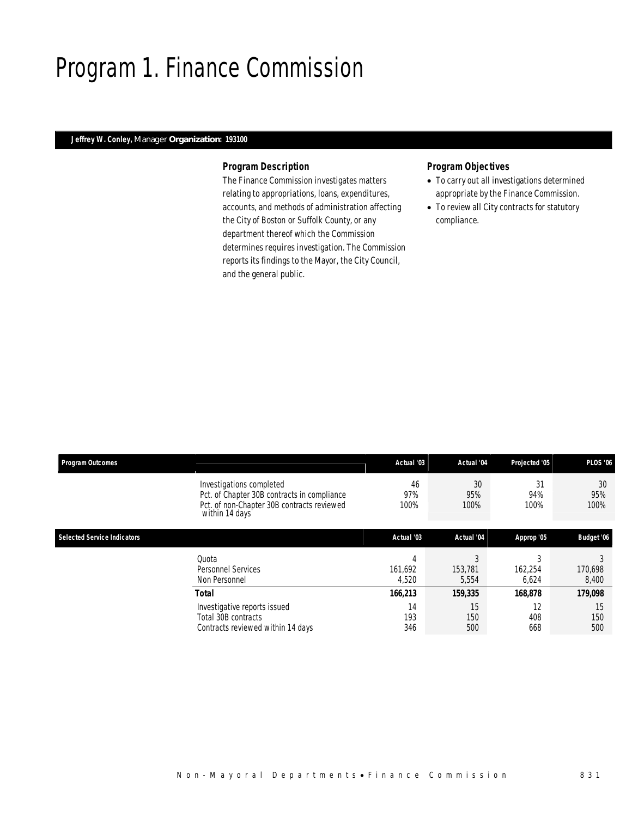## Program 1. Finance Commission

### *Jeffrey W. Conley, Manager Organization: 193100*

#### *Program Description*

The Finance Commission investigates matters relating to appropriations, loans, expenditures, accounts, and methods of administration affecting the City of Boston or Suffolk County, or any department thereof which the Commission determines requires investigation. The Commission reports its findings to the Mayor, the City Council, and the general public.

#### *Program Objectives*

- To carry out all investigations determined appropriate by the Finance Commission.
- To review all City contracts for statutory compliance.

| <b>Program Outcomes</b>            |                                                                                                                                          | Actual '03            | Actual '04            | Projected '05     | <b>PLOS '06</b>   |
|------------------------------------|------------------------------------------------------------------------------------------------------------------------------------------|-----------------------|-----------------------|-------------------|-------------------|
|                                    | Investigations completed<br>Pct. of Chapter 30B contracts in compliance<br>Pct. of non-Chapter 30B contracts reviewed<br>within 14 days' | 46<br>97%<br>100%     | 30<br>95%<br>100%     | 31<br>94%<br>100% | 30<br>95%<br>100% |
| <b>Selected Service Indicators</b> |                                                                                                                                          | Actual '03            | Actual '04            | Approp '05        | Budget '06        |
|                                    | Quota<br><b>Personnel Services</b><br>Non Personnel                                                                                      | 4<br>161.692<br>4,520 | 3<br>153,781<br>5,554 | 162.254<br>6,624  | 170,698<br>8,400  |
|                                    | Total                                                                                                                                    | 166,213               | 159,335               | 168,878           | 179,098           |
|                                    | Investigative reports issued<br>Total 30B contracts<br>Contracts reviewed within 14 days                                                 | 14<br>193<br>346      | 15<br>150<br>500      | 12<br>408<br>668  | 15<br>150<br>500  |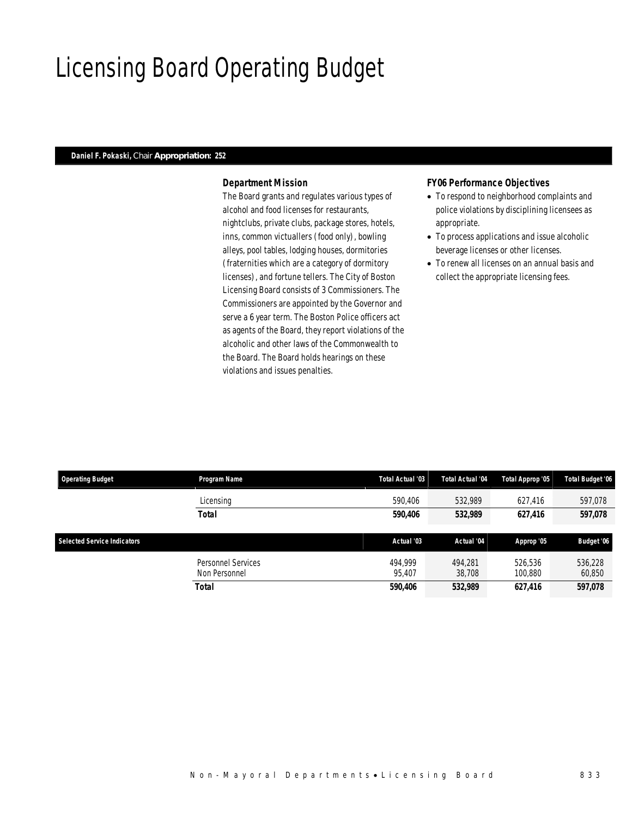## Licensing Board Operating Budget

## *Daniel F. Pokaski, Chair Appropriation: 252*

#### *Department Mission*

The Board grants and regulates various types of alcohol and food licenses for restaurants, nightclubs, private clubs, package stores, hotels, inns, common victuallers (food only), bowling alleys, pool tables, lodging houses, dormitories (fraternities which are a category of dormitory licenses), and fortune tellers. The City of Boston Licensing Board consists of 3 Commissioners. The Commissioners are appointed by the Governor and serve a 6 year term. The Boston Police officers act as agents of the Board, they report violations of the alcoholic and other laws of the Commonwealth to the Board. The Board holds hearings on these violations and issues penalties.

#### *FY06 Performance Objectives*

- To respond to neighborhood complaints and police violations by disciplining licensees as appropriate.
- To process applications and issue alcoholic beverage licenses or other licenses.
- To renew all licenses on an annual basis and collect the appropriate licensing fees.

| <b>Operating Budget</b>            | Program Name       | Total Actual '03 | Total Actual '04 | Total Approp '05 | <b>Total Budget '06</b> |
|------------------------------------|--------------------|------------------|------------------|------------------|-------------------------|
|                                    | Licensing          | 590.406          | 532.989          | 627.416          | 597,078                 |
|                                    | Total              | 590.406          | 532,989          | 627,416          | 597,078                 |
|                                    |                    |                  |                  |                  |                         |
| <b>Selected Service Indicators</b> |                    | Actual '03       | Actual '04       | Approp '05       | Budget '06              |
|                                    |                    |                  |                  |                  |                         |
|                                    | Personnel Services | 494.999          | 494.281          | 526.536          | 536.228                 |
|                                    | Non Personnel      | 95.407           | 38,708           | 100,880          | 60,850                  |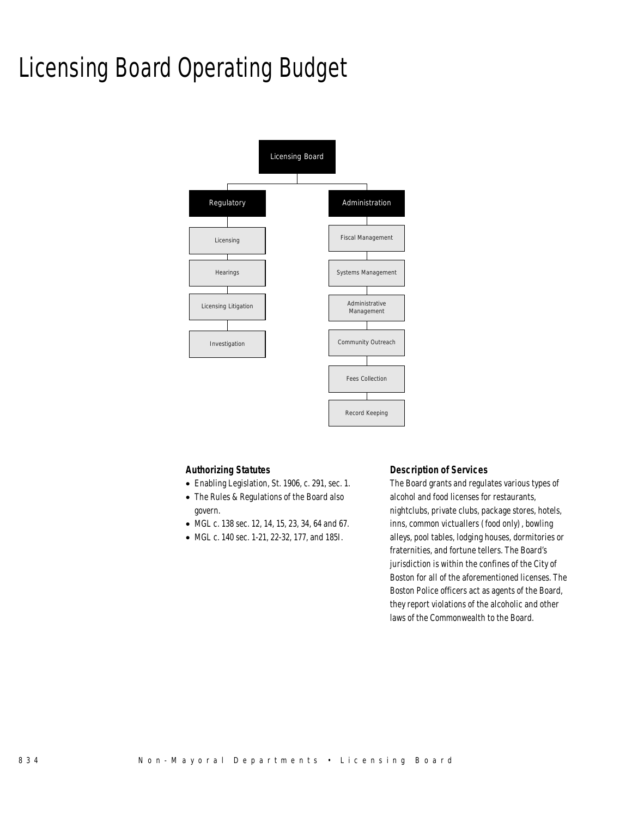# Licensing Board Operating Budget



#### *Authorizing Statutes*

- Enabling Legislation, St. 1906, c. 291, sec. 1.
- The Rules & Regulations of the Board also govern.
- MGL c. 138 sec. 12, 14, 15, 23, 34, 64 and 67.
- MGL c. 140 sec. 1-21, 22-32, 177, and 185I.

#### *Description of Services*

The Board grants and regulates various types of alcohol and food licenses for restaurants, nightclubs, private clubs, package stores, hotels, inns, common victuallers (food only), bowling alleys, pool tables, lodging houses, dormitories or fraternities, and fortune tellers. The Board's jurisdiction is within the confines of the City of Boston for all of the aforementioned licenses. The Boston Police officers act as agents of the Board, they report violations of the alcoholic and other laws of the Commonwealth to the Board.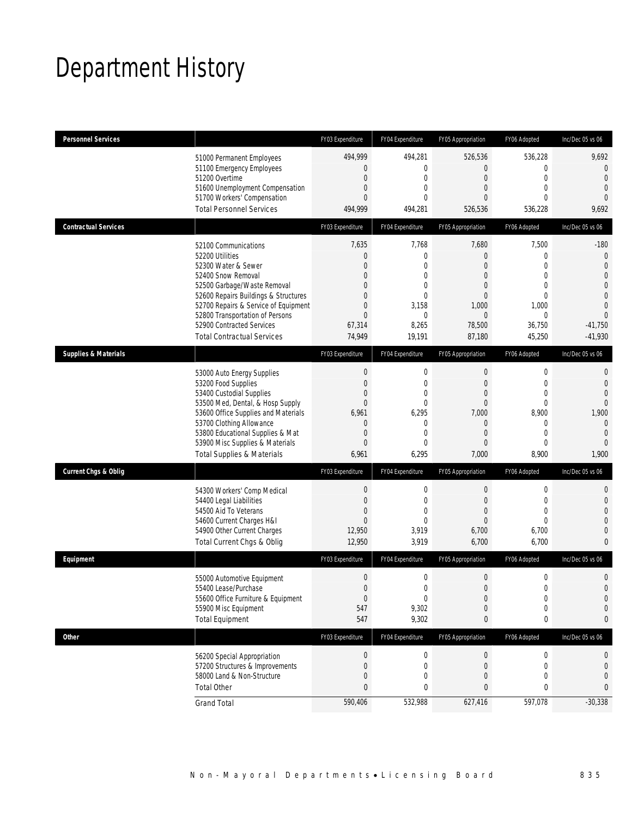# Department History

| <b>Personnel Services</b>                                                    | FY03 Expenditure               | FY04 Expenditure             | FY05 Appropriation             | FY06 Adopted                  | Inc/Dec $05$ vs $06$             |
|------------------------------------------------------------------------------|--------------------------------|------------------------------|--------------------------------|-------------------------------|----------------------------------|
| 51000 Permanent Employees                                                    | 494,999                        | 494,281                      | 526,536                        | 536,228                       | 9,692                            |
| 51100 Emergency Employees                                                    | $\theta$                       | $\mathbf{0}$                 | $\overline{0}$                 | 0                             | $\mathbf 0$                      |
| 51200 Overtime<br>51600 Unemployment Compensation                            | $\overline{0}$<br>$\mathbf 0$  | $\mathbf{0}$<br>$\mathbf{0}$ | $\overline{0}$<br>$\mathbf{0}$ | $\overline{0}$<br>$\mathbf 0$ | $\overline{0}$<br>$\overline{0}$ |
| 51700 Workers' Compensation                                                  | $\mathbf{0}$                   | $\theta$                     | $\Omega$                       | $\theta$                      | $\overline{0}$                   |
| <b>Total Personnel Services</b>                                              | 494,999                        | 494,281                      | 526,536                        | 536,228                       | 9,692                            |
| <b>Contractual Services</b>                                                  | FY03 Expenditure               | FY04 Expenditure             | FY05 Appropriation             | FY06 Adopted                  | Inc/Dec 05 vs 06                 |
| 52100 Communications                                                         | 7,635                          | 7,768                        | 7,680                          | 7,500                         | $-180$                           |
| 52200 Utilities                                                              | $\mathbf{0}$                   | $\mathbf{0}$                 | $\mathbf{0}$                   | 0                             | $\mathbf 0$                      |
| 52300 Water & Sewer                                                          | $\overline{0}$                 | $\mathbf{0}$                 | $\overline{0}$                 | $\overline{0}$                | $\mathbf{0}$                     |
| 52400 Snow Removal                                                           | $\mathbf 0$                    | 0                            | $\mathbf{0}$                   | $\mathbf 0$                   | $\mathbf{0}$                     |
| 52500 Garbage/Waste Removal                                                  | $\mathbf{0}$<br>$\overline{0}$ | $\mathbf{0}$<br>$\mathbf{0}$ | $\mathbf{0}$<br>$\overline{0}$ | $\mathbf 0$<br>$\mathbf 0$    | $\mathbf 0$<br>$\mathbf{0}$      |
| 52600 Repairs Buildings & Structures<br>52700 Repairs & Service of Equipment | $\overline{0}$                 | 3,158                        | 1,000                          | 1,000                         | $\theta$                         |
| 52800 Transportation of Persons                                              | $\overline{0}$                 | $\mathbf{0}$                 | $\overline{0}$                 | $\theta$                      | $\Omega$                         |
| 52900 Contracted Services                                                    | 67,314                         | 8,265                        | 78,500                         | 36,750                        | $-41,750$                        |
| <b>Total Contractual Services</b>                                            | 74,949                         | 19,191                       | 87,180                         | 45,250                        | $-41,930$                        |
| <b>Supplies &amp; Materials</b>                                              | FY03 Expenditure               | FY04 Expenditure             | FY05 Appropriation             | FY06 Adopted                  | Inc/Dec 05 vs 06                 |
|                                                                              | $\mathbf 0$                    | $\mathbf 0$                  | $\mathbf 0$                    | 0                             | 0                                |
| 53000 Auto Energy Supplies<br>53200 Food Supplies                            | $\mathbf{0}$                   | $\mathbf{0}$                 | $\mathbf{0}$                   | 0                             | $\theta$                         |
| 53400 Custodial Supplies                                                     | $\mathbf 0$                    | $\overline{0}$               | $\mathbf{0}$                   | $\mathbf 0$                   | $\mathbf{0}$                     |
| 53500 Med, Dental, & Hosp Supply                                             | $\mathbf{0}$                   | $\mathbf{0}$                 | $\mathbf{0}$                   | $\mathbf 0$                   | $\mathbf 0$                      |
| 53600 Office Supplies and Materials                                          | 6,961                          | 6,295                        | 7,000                          | 8,900                         | 1,900                            |
| 53700 Clothing Allowance                                                     | $\theta$                       | $\mathbf{0}$                 | $\mathbf{0}$                   | $\mathbf 0$                   | $\overline{0}$                   |
| 53800 Educational Supplies & Mat                                             | $\mathbf 0$                    | $\mathbf{0}$                 | $\overline{0}$                 | $\overline{0}$                | $\theta$                         |
| 53900 Misc Supplies & Materials                                              | $\mathbf 0$                    | $\mathbf{0}$                 | $\mathbf{0}$                   | 0                             | $\overline{0}$                   |
| <b>Total Supplies &amp; Materials</b>                                        | 6,961                          | 6,295                        | 7,000                          | 8,900                         | 1,900                            |
| Current Chgs & Oblig                                                         | FY03 Expenditure               | FY04 Expenditure             | FY05 Appropriation             | FY06 Adopted                  | Inc/Dec 05 vs 06                 |
| 54300 Workers' Comp Medical                                                  | $\mathbf 0$                    | $\mathbf 0$                  | 0                              | 0                             | 0                                |
| 54400 Legal Liabilities                                                      | $\mathbf{0}$                   | $\mathbf{0}$                 | $\mathbf{0}$                   | $\mathbf 0$                   | $\mathbf{0}$                     |
| 54500 Aid To Veterans                                                        | $\mathbf 0$                    | $\mathbf{0}$                 | $\mathbf{0}$                   | $\mathbf 0$                   | $\mathbf{0}$                     |
| 54600 Current Charges H&I                                                    | $\mathbf{0}$                   | $\Omega$                     | $\mathbf{0}$                   | $\theta$                      | $\mathbf 0$                      |
| 54900 Other Current Charges                                                  | 12,950                         | 3,919                        | 6,700                          | 6,700                         | $\boldsymbol{0}$                 |
| Total Current Chgs & Oblig                                                   | 12,950                         | 3,919                        | 6,700                          | 6,700                         | 0                                |
| Equipment                                                                    | FY03 Expenditure               | FY04 Expenditure             | FY05 Appropriation             | FY06 Adopted                  | Inc/Dec 05 vs 06                 |
| 55000 Automotive Equipment                                                   | $\mathbf{0}$                   | $\mathbf 0$                  | $\mathbf{0}$                   | $\boldsymbol{0}$              | $\mathbf 0$                      |
| 55400 Lease/Purchase                                                         | $\mathbf 0$                    | $\theta$                     | $\Omega$                       | $\Omega$                      | $\Omega$                         |
| 55600 Office Furniture & Equipment                                           | $\boldsymbol{0}$               | $\mathbf 0$                  | $\boldsymbol{0}$               | $\boldsymbol{0}$              | $\mathbf 0$                      |
| 55900 Misc Equipment                                                         | 547                            | 9,302                        | $\mathbf{0}$                   | 0                             | $\mathbf 0$                      |
| <b>Total Equipment</b>                                                       | 547                            | 9,302                        | 0                              | 0                             | 0                                |
| Other                                                                        | FY03 Expenditure               | FY04 Expenditure             | FY05 Appropriation             | FY06 Adopted                  | Inc/Dec 05 vs 06                 |
| 56200 Special Appropriation                                                  | $\boldsymbol{0}$               | $\boldsymbol{0}$             | $\boldsymbol{0}$               | $\pmb{0}$                     | 0                                |
| 57200 Structures & Improvements                                              | $\mathbf 0$                    | $\mathbf 0$                  | 0                              | 0                             | $\mathbf 0$                      |
| 58000 Land & Non-Structure                                                   | $\theta$                       | $\mathbf{0}$                 | $\mathbf{0}$                   | 0                             | $\mathbf 0$                      |
| <b>Total Other</b>                                                           | $\mathbf{0}$                   | 0                            | 0                              | 0                             | 0                                |
| <b>Grand Total</b>                                                           | 590,406                        | 532,988                      | 627,416                        | 597,078                       | $-30,338$                        |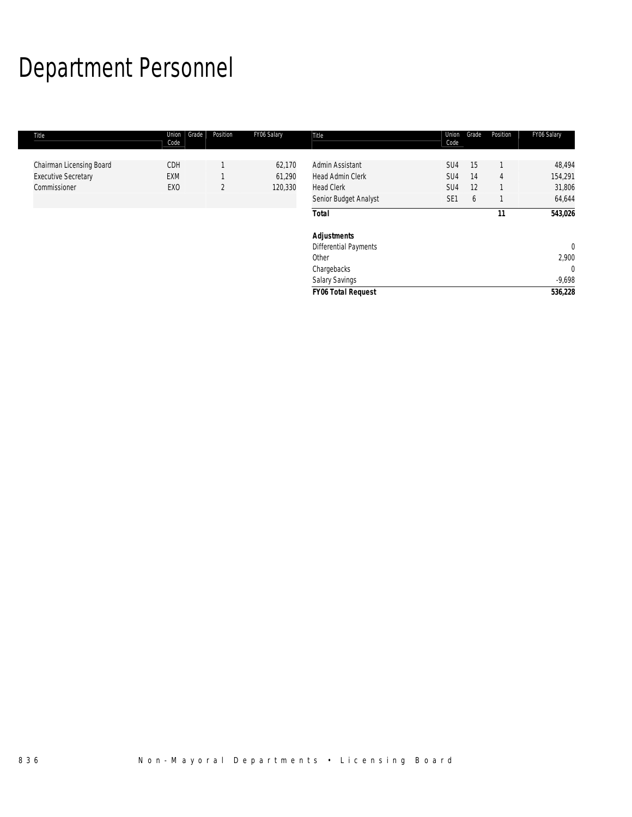# Department Personnel

| Title                                                                  | Grade<br>Union<br>Code        | Position       | FY06 Salary                 | Title                                                           | Union<br>Code     | Grade          | Position | FY06 Salary                           |
|------------------------------------------------------------------------|-------------------------------|----------------|-----------------------------|-----------------------------------------------------------------|-------------------|----------------|----------|---------------------------------------|
| Chairman Licensing Board<br><b>Executive Secretary</b><br>Commissioner | CDH<br>EXM<br>EX <sub>0</sub> | $\overline{2}$ | 62,170<br>61,290<br>120,330 | Admin Assistant<br><b>Head Admin Clerk</b><br><b>Head Clerk</b> | SU4<br>SU4<br>SU4 | 15<br>14<br>12 | 4        | 48,494<br>154,291<br>31,806<br>64,644 |
|                                                                        |                               |                |                             | Senior Budget Analyst<br><b>Total</b>                           | SE <sub>1</sub>   | 6              | 11       | 543,026                               |
|                                                                        |                               |                |                             | <b>Adjustments</b><br><b>Differential Payments</b><br>Other     |                   |                |          | $\mathbf 0$<br>2,900                  |
|                                                                        |                               |                |                             | Chargebacks<br>Salary Savings                                   |                   |                |          | $\mathbf{0}$<br>$-9,698$              |
|                                                                        |                               |                |                             | <b>FY06 Total Request</b>                                       |                   |                |          | 536,228                               |